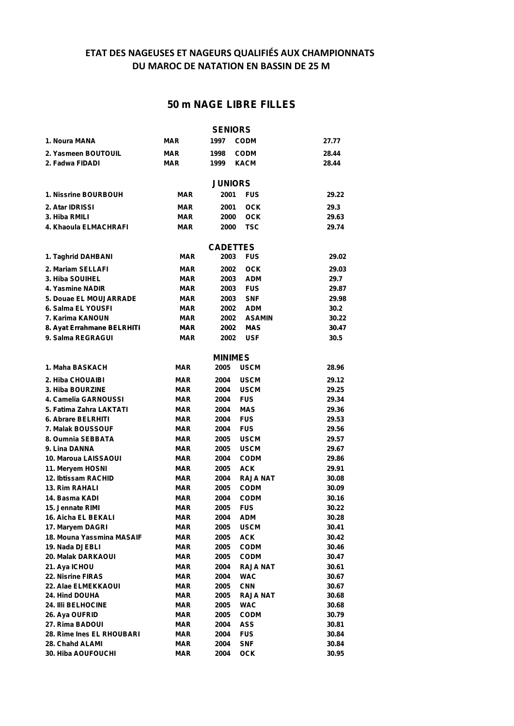### **ETAT DES NAGEUSES ET NAGEURS QUALIFIÉS AUX CHAMPIONNATS DU MAROC DE NATATION EN BASSIN DE 25 M**

## **50 m NAGE LIBRE FILLES**

|                                         |                          | <b>SENIORS</b>  |                           |                |
|-----------------------------------------|--------------------------|-----------------|---------------------------|----------------|
| 1. Noura MANA                           | <b>MAR</b>               | 1997            | <b>CODM</b>               | 27.77          |
| 2. Yasmeen BOUTOUIL                     | <b>MAR</b>               | 1998            | <b>CODM</b>               | 28.44          |
| 2. Fadwa FIDADI                         | <b>MAR</b>               | 1999            | <b>KACM</b>               | 28.44          |
|                                         |                          |                 |                           |                |
|                                         |                          | <b>JUNIORS</b>  |                           |                |
| <b>1. Nissrine BOURBOUH</b>             | <b>MAR</b>               | 2001            | <b>FUS</b>                | 29.22          |
| 2. Atar IDRISSI                         | <b>MAR</b>               | 2001            | <b>OCK</b>                | 29.3           |
| 3. Hiba RMILI                           | <b>MAR</b>               | 2000            | <b>OCK</b>                | 29.63          |
| 4. Khaoula ELMACHRAFI                   | <b>MAR</b>               | 2000            | TSC                       | 29.74          |
|                                         |                          |                 |                           |                |
|                                         |                          | <b>CADETTES</b> |                           |                |
| 1. Taghrid DAHBANI                      | <b>MAR</b>               | 2003            | <b>FUS</b>                | 29.02          |
| 2. Mariam SELLAFI                       | <b>MAR</b>               | 2002            | <b>OCK</b>                | 29.03          |
| 3. Hiba SOUIHEL                         | <b>MAR</b>               | 2003            | <b>ADM</b>                | 29.7           |
| 4. Yasmine NADIR                        | <b>MAR</b>               | 2003            | <b>FUS</b>                | 29.87          |
| 5. Douae EL MOUJARRADE                  | <b>MAR</b>               | 2003            | <b>SNF</b>                | 29.98          |
| 6. Salma EL YOUSFI                      | <b>MAR</b>               | 2002            | <b>ADM</b>                | 30.2           |
| 7. Karima KANOUN                        | <b>MAR</b>               | 2002            | <b>ASAMIN</b>             | 30.22          |
| 8. Ayat Errahmane BELRHITI              | <b>MAR</b>               | 2002            | <b>MAS</b>                | 30.47          |
| 9. Salma REGRAGUI                       | <b>MAR</b>               | 2002            | <b>USF</b>                | 30.5           |
|                                         |                          |                 |                           |                |
|                                         |                          | <b>MINIMES</b>  |                           |                |
| 1. Maha BASKACH                         | <b>MAR</b>               | 2005            | <b>USCM</b>               | 28.96          |
| 2. Hiba CHOUAIBI                        | MAR                      | 2004            | <b>USCM</b>               | 29.12          |
| 3. Hiba BOURZINE                        | <b>MAR</b>               | 2004            | <b>USCM</b>               | 29.25          |
| 4. Camelia GARNOUSSI                    | <b>MAR</b>               | 2004            | <b>FUS</b>                | 29.34          |
| 5. Fatima Zahra LAKTATI                 | <b>MAR</b>               | 2004            | <b>MAS</b>                | 29.36          |
| 6. Abrare BELRHITI                      | <b>MAR</b>               | 2004            | <b>FUS</b>                | 29.53          |
| <b>7. Malak BOUSSOUF</b>                | <b>MAR</b>               | 2004            | <b>FUS</b>                | 29.56          |
| 8. Oumnia SEBBATA                       | <b>MAR</b>               | 2005            | <b>USCM</b>               | 29.57          |
| 9. Lina DANNA                           | <b>MAR</b>               | 2005            | <b>USCM</b>               | 29.67          |
| 10. Maroua LAISSAOUI                    | <b>MAR</b>               | 2004            | <b>CODM</b>               | 29.86          |
| 11. Meryem HOSNI                        | <b>MAR</b>               | 2005            | <b>ACK</b>                | 29.91          |
| 12. Ibtissam RACHID                     | <b>MAR</b>               | 2004            | <b>RAJA NAT</b>           | 30.08          |
| <b>13. Rim RAHALI</b>                   | MAR                      | 2005            | <b>CODM</b>               | 30.09          |
| 14. Basma KADI                          | MAR                      | 2004            | <b>CODM</b>               | 30.16          |
| 15. Jennate RIMI                        | <b>MAR</b>               | 2005            | <b>FUS</b>                | 30.22          |
| 16. Aicha EL BEKALI<br>17. Maryem DAGRI | <b>MAR</b><br><b>MAR</b> | 2004<br>2005    | <b>ADM</b><br><b>USCM</b> | 30.28<br>30.41 |
| 18. Mouna Yassmina MASAIF               | <b>MAR</b>               | 2005            | <b>ACK</b>                | 30.42          |
| 19. Nada DJEBLI                         | <b>MAR</b>               | 2005            | <b>CODM</b>               | 30.46          |
| <b>20. Malak DARKAOUI</b>               | <b>MAR</b>               | 2005            | <b>CODM</b>               | 30.47          |
| 21. Aya ICHOU                           | <b>MAR</b>               | 2004            | <b>RAJA NAT</b>           | 30.61          |
| 22. Nisrine FIRAS                       | <b>MAR</b>               | 2004            | WAC                       | 30.67          |
| 22. Alae ELMEKKAOUI                     | <b>MAR</b>               | 2005            | <b>CNN</b>                | 30.67          |
| <b>24. Hind DOUHA</b>                   | <b>MAR</b>               | 2005            | RAJA NAT                  | 30.68          |
| 24. IIIi BELHOCINE                      | <b>MAR</b>               | 2005            | WAC                       | 30.68          |
| 26. Aya OUFRID                          | <b>MAR</b>               | 2005            | <b>CODM</b>               | 30.79          |
| 27. Rima BADOUI                         | <b>MAR</b>               | 2004            | <b>ASS</b>                | 30.81          |
| 28. Rime Ines EL RHOUBARI               | <b>MAR</b>               | 2004            | <b>FUS</b>                | 30.84          |
| 28. Chahd ALAMI                         | <b>MAR</b>               | 2004            | <b>SNF</b>                | 30.84          |
| 30. Hiba AOUFOUCHI                      | <b>MAR</b>               | 2004            | <b>OCK</b>                | 30.95          |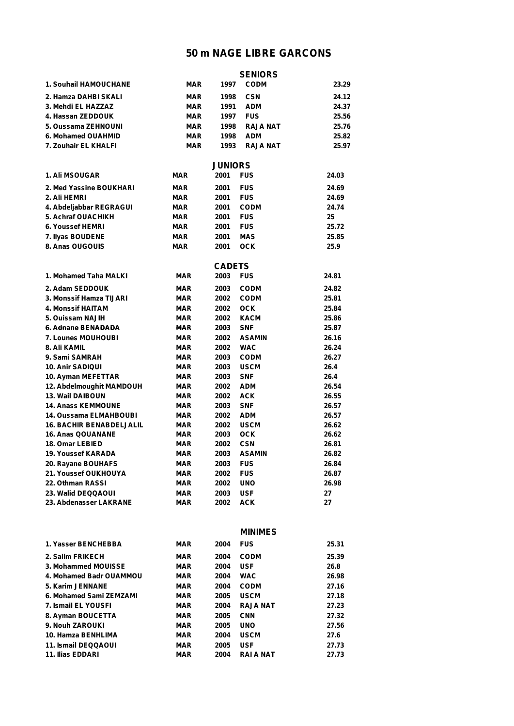|                                 |            |                | <b>SENIORS</b>  |       |
|---------------------------------|------------|----------------|-----------------|-------|
| 1. Souhail HAMOUCHANE           | <b>MAR</b> | 1997           | <b>CODM</b>     | 23.29 |
| 2. Hamza DAHBI SKALI            | <b>MAR</b> | 1998           | <b>CSN</b>      | 24.12 |
| 3. Mehdi EL HAZZAZ              | MAR        | 1991           | <b>ADM</b>      | 24.37 |
| 4. Hassan ZEDDOUK               | <b>MAR</b> | 1997           | <b>FUS</b>      | 25.56 |
| 5. Oussama ZEHNOUNI             | <b>MAR</b> | 1998           | <b>RAJA NAT</b> | 25.76 |
| 6. Mohamed OUAHMID              | <b>MAR</b> | 1998           | <b>ADM</b>      | 25.82 |
| 7. Zouhair EL KHALFI            | <b>MAR</b> | 1993           | <b>RAJA NAT</b> | 25.97 |
|                                 |            |                |                 |       |
|                                 |            | <b>JUNIORS</b> |                 |       |
| <b>1. Ali MSOUGAR</b>           | <b>MAR</b> | 2001           | <b>FUS</b>      | 24.03 |
| 2. Med Yassine BOUKHARI         | <b>MAR</b> | 2001           | <b>FUS</b>      | 24.69 |
| 2. Ali HEMRI                    | <b>MAR</b> | 2001           | <b>FUS</b>      | 24.69 |
| 4. Abdeljabbar REGRAGUI         | <b>MAR</b> | 2001           | <b>CODM</b>     | 24.74 |
| 5. Achraf OUACHIKH              | <b>MAR</b> | 2001           | <b>FUS</b>      | 25    |
| 6. Youssef HEMRI                | <b>MAR</b> | 2001           | <b>FUS</b>      | 25.72 |
| 7. Ilyas BOUDENE                | <b>MAR</b> | 2001           | <b>MAS</b>      | 25.85 |
| 8. Anas OUGOUIS                 | <b>MAR</b> | 2001           | <b>OCK</b>      | 25.9  |
|                                 |            | <b>CADETS</b>  |                 |       |
| 1. Mohamed Taha MALKI           | <b>MAR</b> | 2003           | <b>FUS</b>      | 24.81 |
| 2. Adam SEDDOUK                 | <b>MAR</b> | 2003           | <b>CODM</b>     | 24.82 |
| <b>3. Monssif Hamza TIJARI</b>  | <b>MAR</b> | 2002           | <b>CODM</b>     | 25.81 |
| 4. Monssif HAITAM               | <b>MAR</b> | 2002           | <b>OCK</b>      | 25.84 |
| 5. Ouissam NAJIH                | <b>MAR</b> | 2002           | <b>KACM</b>     | 25.86 |
| 6. Adnane BENADADA              | <b>MAR</b> | 2003           | <b>SNF</b>      | 25.87 |
| 7. Lounes MOUHOUBI              | <b>MAR</b> | 2002           | <b>ASAMIN</b>   | 26.16 |
| 8. Ali KAMIL                    | <b>MAR</b> | 2002           | <b>WAC</b>      | 26.24 |
| 9. Sami SAMRAH                  | <b>MAR</b> | 2003           | <b>CODM</b>     | 26.27 |
| 10. Anir SADIQUI                | <b>MAR</b> | 2003           | <b>USCM</b>     | 26.4  |
| 10. Ayman MEFETTAR              | <b>MAR</b> | 2003           | <b>SNF</b>      | 26.4  |
| 12. Abdelmoughit MAMDOUH        | <b>MAR</b> | 2002           | <b>ADM</b>      | 26.54 |
| <b>13. Wail DAIBOUN</b>         | <b>MAR</b> | 2002           | <b>ACK</b>      | 26.55 |
| <b>14. Anass KEMMOUNE</b>       | <b>MAR</b> | 2003           | <b>SNF</b>      | 26.57 |
| 14. Oussama ELMAHBOUBI          | <b>MAR</b> | 2002           | <b>ADM</b>      | 26.57 |
| <b>16. BACHIR BENABDELJALIL</b> | <b>MAR</b> | 2002           | <b>USCM</b>     | 26.62 |
| <b>16. Anas QOUANANE</b>        | <b>MAR</b> | 2003           | <b>OCK</b>      | 26.62 |
| <b>18. Omar LEBIED</b>          | <b>MAR</b> | 2002           | <b>CSN</b>      | 26.81 |
| <b>19. Youssef KARADA</b>       | <b>MAR</b> | 2003           | <b>ASAMIN</b>   | 26.82 |
| 20. Rayane BOUHAFS              | <b>MAR</b> | 2003           | <b>FUS</b>      | 26.84 |
| 21. Youssef OUKHOUYA            | <b>MAR</b> | 2002           | <b>FUS</b>      | 26.87 |
| 22. Othman RASSI                | <b>MAR</b> | 2002           | <b>UNO</b>      | 26.98 |
| 23. Walid DEQQAOUI              | <b>MAR</b> | 2003           | <b>USF</b>      | 27    |
| 23. Abdenasser LAKRANE          | <b>MAR</b> | 2002           | <b>ACK</b>      | 27    |
|                                 |            |                |                 |       |

|                            |            |      | <b>MINIMES</b>  |       |
|----------------------------|------------|------|-----------------|-------|
| 1. Yasser BENCHEBBA        | <b>MAR</b> | 2004 | <b>FUS</b>      | 25.31 |
| 2. Salim FRIKECH           | <b>MAR</b> | 2004 | <b>CODM</b>     | 25.39 |
| 3. Mohammed MOUISSE        | <b>MAR</b> | 2004 | <b>USF</b>      | 26.8  |
| 4. Mohamed Badr OUAMMOU    | <b>MAR</b> | 2004 | <b>WAC</b>      | 26.98 |
| 5. Karim JENNANE           | MAR        | 2004 | <b>CODM</b>     | 27.16 |
| 6. Mohamed Sami ZEMZAMI    | <b>MAR</b> | 2005 | <b>USCM</b>     | 27.18 |
| 7. Ismail EL YOUSFI        | MAR        | 2004 | <b>RAJA NAT</b> | 27.23 |
| 8. Ayman BOUCETTA          | <b>MAR</b> | 2005 | <b>CNN</b>      | 27.32 |
| 9. Nouh ZAROUKI            | <b>MAR</b> | 2005 | <b>UNO</b>      | 27.56 |
| 10. Hamza BENHLIMA         | <b>MAR</b> | 2004 | <b>USCM</b>     | 27.6  |
| <b>11. Ismail DEQQAOUI</b> | <b>MAR</b> | 2005 | <b>USF</b>      | 27.73 |
| <b>11. Ilias EDDARI</b>    | <b>MAR</b> | 2004 | <b>RAJA NAT</b> | 27.73 |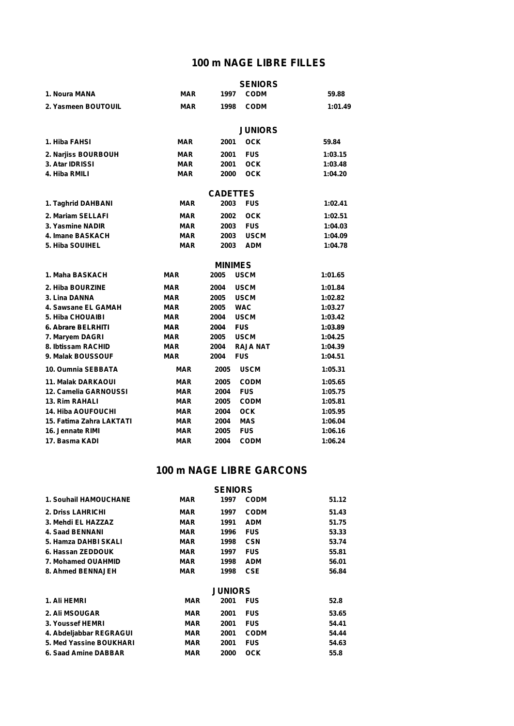### **100 m NAGE LIBRE FILLES**

|                           |            |                 | <b>SENIORS</b>  |         |
|---------------------------|------------|-----------------|-----------------|---------|
| 1. Noura MANA             | <b>MAR</b> | 1997            | <b>CODM</b>     | 59.88   |
| 2. Yasmeen BOUTOUIL       | <b>MAR</b> | 1998            | <b>CODM</b>     | 1:01.49 |
|                           |            |                 | <b>JUNIORS</b>  |         |
|                           |            |                 |                 |         |
| 1. Hiba FAHSI             | MAR        | 2001            | <b>OCK</b>      | 59.84   |
| 2. Narjiss BOURBOUH       | <b>MAR</b> | 2001            | <b>FUS</b>      | 1:03.15 |
| 3. Atar IDRISSI           | <b>MAR</b> | 2001            | <b>OCK</b>      | 1:03.48 |
| 4. Hiba RMILI             | <b>MAR</b> | 2000            | <b>OCK</b>      | 1:04.20 |
|                           |            | <b>CADETTES</b> |                 |         |
| 1. Taghrid DAHBANI        | MAR        | 2003            | <b>FUS</b>      | 1:02.41 |
| 2. Mariam SELLAFI         | <b>MAR</b> | 2002            | <b>OCK</b>      | 1:02.51 |
| 3. Yasmine NADIR          | <b>MAR</b> | 2003            | <b>FUS</b>      | 1:04.03 |
| 4. Imane BASKACH          | <b>MAR</b> | 2003            | <b>USCM</b>     | 1:04.09 |
| 5. Hiba SOUIHEL           | <b>MAR</b> | 2003            | <b>ADM</b>      | 1:04.78 |
|                           |            | <b>MINIMES</b>  |                 |         |
| 1. Maha BASKACH           | <b>MAR</b> | 2005            | <b>USCM</b>     | 1:01.65 |
| 2. Hiba BOURZINE          | <b>MAR</b> | 2004            | <b>USCM</b>     | 1:01.84 |
| 3. Lina DANNA             | <b>MAR</b> | 2005            | <b>USCM</b>     | 1:02.82 |
| 4. Sawsane EL GAMAH       | <b>MAR</b> | 2005            | <b>WAC</b>      | 1:03.27 |
| 5. Hiba CHOUAIBI          | <b>MAR</b> | 2004            | <b>USCM</b>     | 1:03.42 |
| 6. Abrare BELRHITI        | <b>MAR</b> | 2004            | <b>FUS</b>      | 1:03.89 |
| 7. Maryem DAGRI           | <b>MAR</b> | 2005            | <b>USCM</b>     | 1:04.25 |
| 8. Ibtissam RACHID        | <b>MAR</b> | 2004            | <b>RAJA NAT</b> | 1:04.39 |
| 9. Malak BOUSSOUF         | <b>MAR</b> | 2004            | <b>FUS</b>      | 1:04.51 |
| 10. Oumnia SEBBATA        | <b>MAR</b> | 2005            | <b>USCM</b>     | 1:05.31 |
| <b>11. Malak DARKAOUI</b> | <b>MAR</b> | 2005            | <b>CODM</b>     | 1:05.65 |
| 12. Camelia GARNOUSSI     | MAR        | 2004            | <b>FUS</b>      | 1:05.75 |
| <b>13. Rim RAHALI</b>     | <b>MAR</b> | 2005            | <b>CODM</b>     | 1:05.81 |
| <b>14. Hiba AOUFOUCHI</b> | <b>MAR</b> | 2004            | <b>OCK</b>      | 1:05.95 |
| 15. Fatima Zahra LAKTATI  | <b>MAR</b> | 2004            | <b>MAS</b>      | 1:06.04 |
| 16. Jennate RIMI          | MAR        | 2005            | <b>FUS</b>      | 1:06.16 |
| 17. Basma KADI            | <b>MAR</b> | 2004            | <b>CODM</b>     | 1:06.24 |

### **100 m NAGE LIBRE GARCONS**

| MAR        | 1997 | <b>CODM</b> | 51.12                            |
|------------|------|-------------|----------------------------------|
| <b>MAR</b> | 1997 | <b>CODM</b> | 51.43                            |
| <b>MAR</b> | 1991 | <b>ADM</b>  | 51.75                            |
| <b>MAR</b> | 1996 | <b>FUS</b>  | 53.33                            |
| <b>MAR</b> | 1998 | <b>CSN</b>  | 53.74                            |
| <b>MAR</b> | 1997 | <b>FUS</b>  | 55.81                            |
| <b>MAR</b> | 1998 | <b>ADM</b>  | 56.01                            |
| <b>MAR</b> | 1998 | <b>CSE</b>  | 56.84                            |
|            |      |             |                                  |
| <b>MAR</b> | 2001 | <b>FUS</b>  | 52.8                             |
| <b>MAR</b> | 2001 | <b>FUS</b>  | 53.65                            |
| <b>MAR</b> | 2001 | <b>FUS</b>  | 54.41                            |
| <b>MAR</b> | 2001 | <b>CODM</b> | 54.44                            |
| <b>MAR</b> | 2001 | <b>FUS</b>  | 54.63                            |
| <b>MAR</b> | 2000 | оск         | 55.8                             |
|            |      |             | <b>SENIORS</b><br><b>JUNIORS</b> |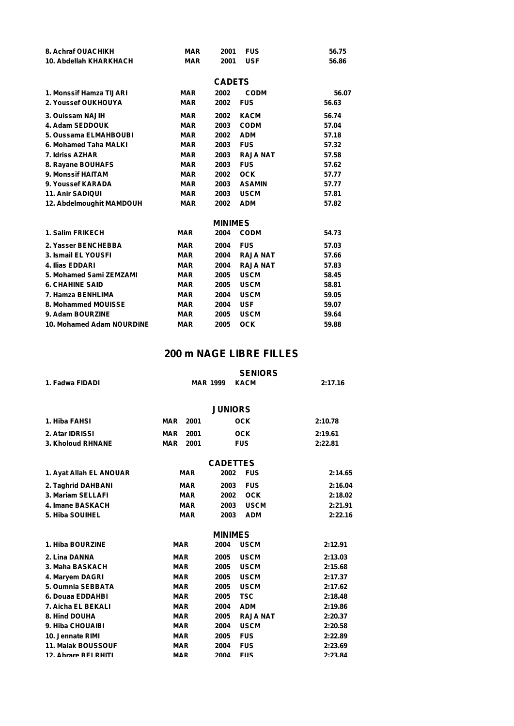| 8. Achraf OUACHIKH        | <b>MAR</b> | 2001           | <b>FUS</b>      | 56.75 |
|---------------------------|------------|----------------|-----------------|-------|
| 10. Abdellah KHARKHACH    | <b>MAR</b> | 2001           | <b>USF</b>      | 56.86 |
|                           |            |                |                 |       |
|                           |            | <b>CADETS</b>  |                 |       |
| 1. Monssif Hamza TIJARI   | <b>MAR</b> | 2002           | <b>CODM</b>     | 56.07 |
| 2. Youssef OUKHOUYA       | <b>MAR</b> | 2002           | <b>FUS</b>      | 56.63 |
| 3. Ouissam NAJIH          | <b>MAR</b> | 2002           | <b>KACM</b>     | 56.74 |
| 4. Adam SEDDOUK           | <b>MAR</b> | 2003           | <b>CODM</b>     | 57.04 |
| 5. Oussama ELMAHBOUBI     | <b>MAR</b> | 2002           | <b>ADM</b>      | 57.18 |
| 6. Mohamed Taha MALKI     | <b>MAR</b> | 2003           | <b>FUS</b>      | 57.32 |
| 7. Idriss AZHAR           | <b>MAR</b> | 2003           | <b>RAJA NAT</b> | 57.58 |
| 8. Rayane BOUHAFS         | <b>MAR</b> | 2003           | <b>FUS</b>      | 57.62 |
| 9. Monssif HAITAM         | <b>MAR</b> | 2002           | <b>OCK</b>      | 57.77 |
| 9. Youssef KARADA         | <b>MAR</b> | 2003           | <b>ASAMIN</b>   | 57.77 |
| <b>11. Anir SADIQUI</b>   | <b>MAR</b> | 2003           | <b>USCM</b>     | 57.81 |
| 12. Abdelmoughit MAMDOUH  | <b>MAR</b> | 2002           | <b>ADM</b>      | 57.82 |
|                           |            | <b>MINIMES</b> |                 |       |
| 1. Salim FRIKECH          | <b>MAR</b> | 2004           | <b>CODM</b>     | 54.73 |
| 2. Yasser BENCHEBBA       | <b>MAR</b> | 2004           | <b>FUS</b>      | 57.03 |
| 3. Ismail EL YOUSFI       | <b>MAR</b> | 2004           | <b>RAJA NAT</b> | 57.66 |
| 4. Ilias EDDARI           | <b>MAR</b> | 2004           | <b>RAJA NAT</b> | 57.83 |
| 5. Mohamed Sami ZEMZAMI   | <b>MAR</b> | 2005           | <b>USCM</b>     | 58.45 |
| <b>6. CHAHINE SAID</b>    | <b>MAR</b> | 2005           | <b>USCM</b>     | 58.81 |
| 7. Hamza BENHLIMA         | <b>MAR</b> | 2004           | <b>USCM</b>     | 59.05 |
| 8. Mohammed MOUISSE       | <b>MAR</b> | 2004           | <b>USF</b>      | 59.07 |
| 9. Adam BOURZINE          | <b>MAR</b> | 2005           | <b>USCM</b>     | 59.64 |
| 10. Mohamed Adam NOURDINE | <b>MAR</b> | 2005           | <b>OCK</b>      | 59.88 |

# **200 m NAGE LIBRE FILLES**

|                           | <b>SENIORS</b>     |                 |                 |         |  |
|---------------------------|--------------------|-----------------|-----------------|---------|--|
| 1. Fadwa FIDADI           | <b>MAR 1999</b>    |                 | <b>KACM</b>     | 2:17.16 |  |
|                           |                    |                 |                 |         |  |
|                           |                    | <b>JUNIORS</b>  |                 |         |  |
| 1. Hiba FAHSI             | <b>MAR</b><br>2001 |                 | <b>OCK</b>      | 2:10.78 |  |
| 2. Atar IDRISSI           | 2001<br><b>MAR</b> |                 | <b>OCK</b>      | 2:19.61 |  |
| 3. Kholoud RHNANE         | <b>MAR</b><br>2001 |                 | <b>FUS</b>      | 2:22.81 |  |
|                           |                    | <b>CADETTES</b> |                 |         |  |
| 1. Ayat Allah EL ANOUAR   | <b>MAR</b>         | 2002            | <b>FUS</b>      | 2:14.65 |  |
| 2. Taghrid DAHBANI        | <b>MAR</b>         | 2003            | <b>FUS</b>      | 2:16.04 |  |
| 3. Mariam SELLAFI         | <b>MAR</b>         | 2002            | <b>OCK</b>      | 2:18.02 |  |
| 4. Imane BASKACH          | <b>MAR</b>         | 2003            | <b>USCM</b>     | 2:21.91 |  |
| 5. Hiba SOUIHEL           | <b>MAR</b>         | 2003            | <b>ADM</b>      | 2:22.16 |  |
|                           |                    | <b>MINIMES</b>  |                 |         |  |
| 1. Hiba BOURZINE          | <b>MAR</b>         | 2004            | <b>USCM</b>     | 2:12.91 |  |
| 2. Lina DANNA             | <b>MAR</b>         | 2005            | <b>USCM</b>     | 2:13.03 |  |
| 3. Maha BASKACH           | <b>MAR</b>         | 2005            | <b>USCM</b>     | 2:15.68 |  |
| 4. Maryem DAGRI           | <b>MAR</b>         | 2005            | <b>USCM</b>     | 2:17.37 |  |
| 5. Oumnia SEBBATA         | <b>MAR</b>         | 2005            | <b>USCM</b>     | 2:17.62 |  |
| 6. Douaa EDDAHBI          | <b>MAR</b>         | 2005            | <b>TSC</b>      | 2:18.48 |  |
| 7. Aicha EL BEKALI        | <b>MAR</b>         | 2004            | <b>ADM</b>      | 2:19.86 |  |
| 8. Hind DOUHA             | <b>MAR</b>         | 2005            | <b>RAJA NAT</b> | 2:20.37 |  |
| 9. Hiba CHOUAIBI          | <b>MAR</b>         | 2004            | <b>USCM</b>     | 2:20.58 |  |
| 10. Jennate RIMI          | <b>MAR</b>         | 2005            | <b>FUS</b>      | 2:22.89 |  |
| <b>11. Malak BOUSSOUF</b> | <b>MAR</b>         | 2004            | <b>FUS</b>      | 2:23.69 |  |
| 12 Ahrare RFI RHITI       | <b>MAR</b>         | 2004            | <b>FUS</b>      | 2-23.84 |  |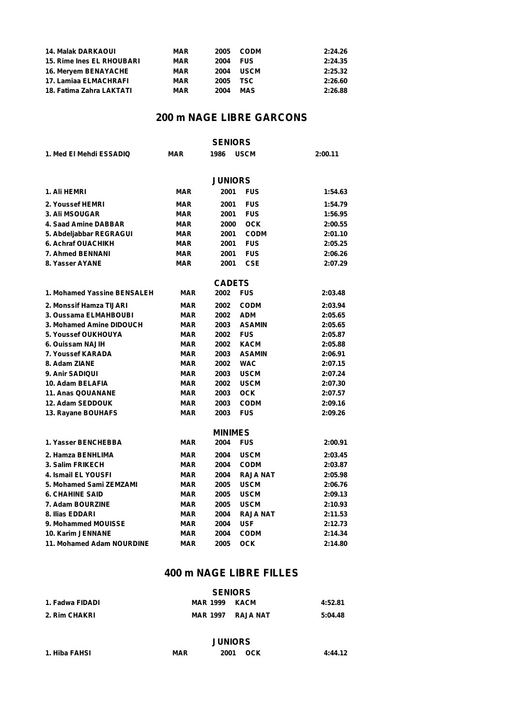| <b>14. Malak DARKAOUI</b>        | <b>MAR</b> | 2005 | CODM        | 2:24.26 |
|----------------------------------|------------|------|-------------|---------|
| <b>15. Rime Ines EL RHOUBARI</b> | <b>MAR</b> | 2004 | <b>FUS</b>  | 2:24.35 |
| <b>16. Mervem BENAYACHE</b>      | <b>MAR</b> | 2004 | <b>USCM</b> | 2:25.32 |
| 17. Lamiaa ELMACHRAFI            | <b>MAR</b> | 2005 | <b>TSC</b>  | 2:26.60 |
| 18. Fatima Zahra LAKTATI         | <b>MAR</b> | 2004 | MAS         | 2:26.88 |

| <b>SENIORS</b>              |            |                |                 |         |  |
|-----------------------------|------------|----------------|-----------------|---------|--|
| 1. Med El Mehdi ESSADIQ     | <b>MAR</b> | 1986           | <b>USCM</b>     | 2:00.11 |  |
|                             |            |                |                 |         |  |
|                             |            | <b>JUNIORS</b> |                 |         |  |
| 1. Ali HEMRI                | MAR        | 2001           | <b>FUS</b>      | 1:54.63 |  |
| 2. Youssef HEMRI            | <b>MAR</b> | 2001           | <b>FUS</b>      | 1:54.79 |  |
| <b>3. Ali MSOUGAR</b>       | <b>MAR</b> | 2001           | <b>FUS</b>      | 1:56.95 |  |
| 4. Saad Amine DABBAR        | <b>MAR</b> | 2000           | <b>OCK</b>      | 2:00.55 |  |
| 5. Abdeljabbar REGRAGUI     | <b>MAR</b> | 2001           | <b>CODM</b>     | 2:01.10 |  |
| 6. Achraf OUACHIKH          | <b>MAR</b> | 2001           | <b>FUS</b>      | 2:05.25 |  |
| 7. Ahmed BENNANI            | <b>MAR</b> | 2001           | <b>FUS</b>      | 2:06.26 |  |
| 8. Yasser AYANE             | <b>MAR</b> | 2001           | <b>CSE</b>      | 2:07.29 |  |
|                             |            | <b>CADETS</b>  |                 |         |  |
| 1. Mohamed Yassine BENSALEH | <b>MAR</b> | 2002           | <b>FUS</b>      | 2:03.48 |  |
| 2. Monssif Hamza TIJARI     | <b>MAR</b> | 2002           | <b>CODM</b>     | 2:03.94 |  |
| 3. Oussama ELMAHBOUBI       | <b>MAR</b> | 2002           | <b>ADM</b>      | 2:05.65 |  |
| 3. Mohamed Amine DIDOUCH    | <b>MAR</b> | 2003           | <b>ASAMIN</b>   | 2:05.65 |  |
| <b>5. Youssef OUKHOUYA</b>  | <b>MAR</b> | 2002           | <b>FUS</b>      | 2:05.87 |  |
| 6. Ouissam NAJIH            | <b>MAR</b> | 2002           | <b>KACM</b>     | 2:05.88 |  |
| 7. Youssef KARADA           | <b>MAR</b> | 2003           | <b>ASAMIN</b>   | 2:06.91 |  |
| 8. Adam ZIANE               | <b>MAR</b> | 2002           | <b>WAC</b>      | 2:07.15 |  |
| 9. Anir SADIQUI             | <b>MAR</b> | 2003           | <b>USCM</b>     | 2:07.24 |  |
| 10. Adam BELAFIA            | <b>MAR</b> | 2002           | <b>USCM</b>     | 2:07.30 |  |
| <b>11. Anas QOUANANE</b>    | <b>MAR</b> | 2003           | <b>OCK</b>      | 2:07.57 |  |
| 12. Adam SEDDOUK            | <b>MAR</b> | 2003           | <b>CODM</b>     | 2:09.16 |  |
| 13. Rayane BOUHAFS          | <b>MAR</b> | 2003           | <b>FUS</b>      | 2:09.26 |  |
|                             |            | <b>MINIMES</b> |                 |         |  |
| 1. Yasser BENCHEBBA         | <b>MAR</b> | 2004           | <b>FUS</b>      | 2:00.91 |  |
| 2. Hamza BENHLIMA           | <b>MAR</b> | 2004           | <b>USCM</b>     | 2:03.45 |  |
| 3. Salim FRIKECH            | <b>MAR</b> | 2004           | <b>CODM</b>     | 2:03.87 |  |
| 4. Ismail EL YOUSFI         | <b>MAR</b> | 2004           | <b>RAJA NAT</b> | 2:05.98 |  |
| 5. Mohamed Sami ZEMZAMI     | <b>MAR</b> | 2005           | <b>USCM</b>     | 2:06.76 |  |
| <b>6. CHAHINE SAID</b>      | <b>MAR</b> | 2005           | <b>USCM</b>     | 2:09.13 |  |
| 7. Adam BOURZINE            | <b>MAR</b> | 2005           | <b>USCM</b>     | 2:10.93 |  |
| 8. Ilias EDDARI             | <b>MAR</b> | 2004           | <b>RAJA NAT</b> | 2:11.53 |  |
| 9. Mohammed MOUISSE         | <b>MAR</b> | 2004           | <b>USF</b>      | 2:12.73 |  |
| <b>10. Karim JENNANE</b>    | MAR        | 2004           | <b>CODM</b>     | 2:14.34 |  |
| 11. Mohamed Adam NOURDINE   | <b>MAR</b> | 2005           | оск             | 2:14.80 |  |

## **400 m NAGE LIBRE FILLES**

|                 | <b>SENIORS</b>  |          |         |
|-----------------|-----------------|----------|---------|
| 1. Fadwa FIDADI | MAR 1999 KACM   |          | 4:52.81 |
| 2. Rim CHAKRI   | <b>MAR 1997</b> | RAJA NAT | 5:04.48 |

#### **JUNIORS**

| 1. Hiba FAHSI | <b>MAR</b> | 2001 | оск | 4:44.12 |
|---------------|------------|------|-----|---------|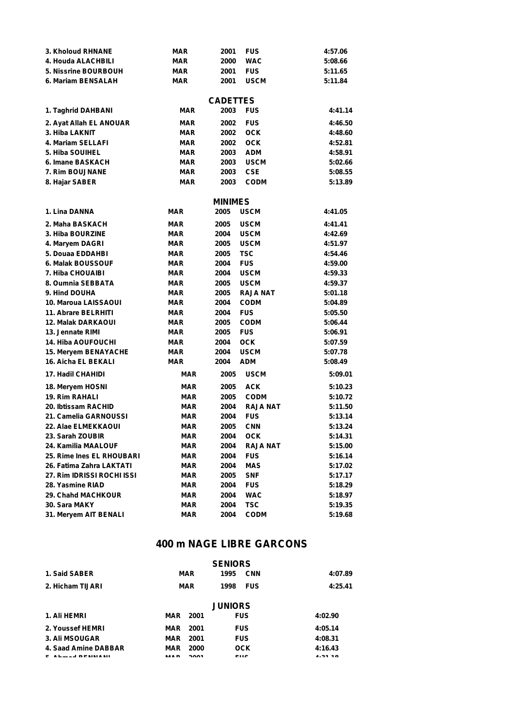| 3. Kholoud RHNANE          | <b>MAR</b> | 2001            | <b>FUS</b>      | 4:57.06 |
|----------------------------|------------|-----------------|-----------------|---------|
| 4. Houda ALACHBILI         | MAR        | 2000            | <b>WAC</b>      | 5:08.66 |
| 5. Nissrine BOURBOUH       | <b>MAR</b> | 2001            | <b>FUS</b>      | 5:11.65 |
| 6. Mariam BENSALAH         | MAR        | 2001            | <b>USCM</b>     | 5:11.84 |
|                            |            | <b>CADETTES</b> |                 |         |
| 1. Taghrid DAHBANI         | <b>MAR</b> | 2003            | <b>FUS</b>      | 4:41.14 |
| 2. Ayat Allah EL ANOUAR    | <b>MAR</b> | 2002            | <b>FUS</b>      | 4:46.50 |
| 3. Hiba LAKNIT             | <b>MAR</b> | 2002            | <b>OCK</b>      | 4:48.60 |
| 4. Mariam SELLAFI          | <b>MAR</b> | 2002            | <b>OCK</b>      | 4:52.81 |
| 5. Hiba SOUIHEL            | <b>MAR</b> | 2003            | <b>ADM</b>      | 4:58.91 |
| 6. Imane BASKACH           | <b>MAR</b> | 2003            | <b>USCM</b>     | 5:02.66 |
| 7. Rim BOUJNANE            | <b>MAR</b> | 2003            | <b>CSE</b>      | 5:08.55 |
| 8. Hajar SABER             | <b>MAR</b> | 2003            | <b>CODM</b>     | 5:13.89 |
|                            |            | <b>MINIMES</b>  |                 |         |
| 1. Lina DANNA              | MAR        | 2005            | <b>USCM</b>     | 4:41.05 |
| 2. Maha BASKACH            | <b>MAR</b> | 2005            | <b>USCM</b>     | 4:41.41 |
| 3. Hiba BOURZINE           | <b>MAR</b> | 2004            | <b>USCM</b>     | 4:42.69 |
| 4. Maryem DAGRI            | <b>MAR</b> | 2005            | <b>USCM</b>     | 4:51.97 |
| 5. Douaa EDDAHBI           | <b>MAR</b> | 2005            | <b>TSC</b>      | 4:54.46 |
| 6. Malak BOUSSOUF          | <b>MAR</b> | 2004            | <b>FUS</b>      | 4:59.00 |
| 7. Hiba CHOUAIBI           | <b>MAR</b> | 2004            | <b>USCM</b>     | 4:59.33 |
| 8. Oumnia SEBBATA          | <b>MAR</b> | 2005            | <b>USCM</b>     | 4:59.37 |
| 9. Hind DOUHA              | <b>MAR</b> | 2005            | <b>RAJA NAT</b> | 5:01.18 |
| 10. Maroua LAISSAOUI       | <b>MAR</b> | 2004            | <b>CODM</b>     | 5:04.89 |
| 11. Abrare BELRHITI        | <b>MAR</b> | 2004            | <b>FUS</b>      | 5:05.50 |
| <b>12. Malak DARKAOUI</b>  | <b>MAR</b> | 2005            | <b>CODM</b>     | 5:06.44 |
| 13. Jennate RIMI           | <b>MAR</b> | 2005            | <b>FUS</b>      | 5:06.91 |
| <b>14. Hiba AOUFOUCHI</b>  | <b>MAR</b> | 2004            | <b>OCK</b>      | 5:07.59 |
| 15. Meryem BENAYACHE       | <b>MAR</b> | 2004            | <b>USCM</b>     | 5:07.78 |
| <b>16. Aicha EL BEKALI</b> | <b>MAR</b> | 2004            | <b>ADM</b>      | 5:08.49 |
| <b>17. Hadil CHAHIDI</b>   | <b>MAR</b> | 2005            | <b>USCM</b>     | 5:09.01 |
| 18. Meryem HOSNI           | MAR        | 2005            | <b>ACK</b>      | 5:10.23 |
| <b>19. Rim RAHALI</b>      | <b>MAR</b> | 2005            | <b>CODM</b>     | 5:10.72 |
| 20. Ibtissam RACHID        | <b>MAR</b> | 2004            | <b>RAJA NAT</b> | 5:11.50 |
| 21. Camelia GARNOUSSI      | <b>MAR</b> | 2004            | <b>FUS</b>      | 5:13.14 |
| 22. Alae ELMEKKAOUI        | <b>MAR</b> | 2005            | <b>CNN</b>      | 5:13.24 |
| 23. Sarah ZOUBIR           | MAR        | 2004            | <b>OCK</b>      | 5:14.31 |
| 24. Kamilia MAALOUF        | <b>MAR</b> | 2004            | <b>RAJA NAT</b> | 5:15.00 |
| 25. Rime Ines EL RHOUBARI  | <b>MAR</b> | 2004            | <b>FUS</b>      | 5:16.14 |
| 26. Fatima Zahra LAKTATI   | MAR        | 2004            | <b>MAS</b>      | 5:17.02 |
| 27. Rim IDRISSI ROCHI ISSI | MAR        | 2005            | <b>SNF</b>      | 5:17.17 |
| 28. Yasmine RIAD           | MAR        | 2004            | <b>FUS</b>      | 5:18.29 |
| 29. Chahd MACHKOUR         | <b>MAR</b> | 2004            | <b>WAC</b>      | 5:18.97 |
| 30. Sara MAKY              | MAR        | 2004            | <b>TSC</b>      | 5:19.35 |
| 31. Meryem AIT BENALI      | <b>MAR</b> | 2004            | <b>CODM</b>     | 5:19.68 |

|                        |     |             | <b>SENIORS</b> |            |         |
|------------------------|-----|-------------|----------------|------------|---------|
| 1. Said SABER          |     | MAR         | 1995           | <b>CNN</b> | 4:07.89 |
| 2. Hicham TIJARI       |     | <b>MAR</b>  | 1998           | <b>FUS</b> | 4:25.41 |
|                        |     |             | <b>JUNIORS</b> |            |         |
| 1. Ali HEMRI           | MAR | 2001        |                | <b>FUS</b> | 4:02.90 |
| 2. Youssef HEMRI       | MAR | 2001        |                | <b>FUS</b> | 4:05.14 |
| <b>3. Ali MSOUGAR</b>  | MAR | 2001        |                | <b>FUS</b> | 4:08.31 |
| 4. Saad Amine DABBAR   | MAR | 2000        |                | <b>OCK</b> | 4:16.43 |
| $\cdots$ . I resistant |     | <b>0004</b> |                | <b>FUO</b> | .       |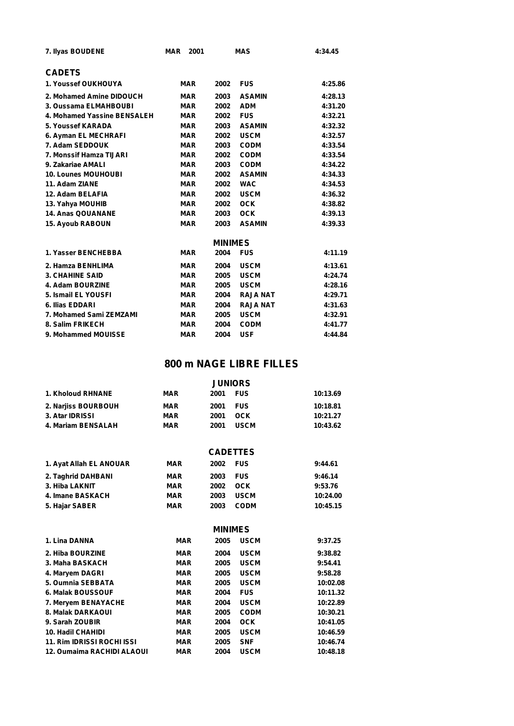| 7. Ilyas BOUDENE            | <b>MAR</b> | 2001           | <b>MAS</b>      | 4:34.45 |
|-----------------------------|------------|----------------|-----------------|---------|
| <b>CADETS</b>               |            |                |                 |         |
| 1. Youssef OUKHOUYA         | <b>MAR</b> | 2002           | <b>FUS</b>      | 4:25.86 |
| 2. Mohamed Amine DIDOUCH    | <b>MAR</b> | 2003           | <b>ASAMIN</b>   | 4:28.13 |
| 3. Oussama ELMAHBOUBI       | <b>MAR</b> | 2002           | <b>ADM</b>      | 4:31.20 |
| 4. Mohamed Yassine BENSALEH | <b>MAR</b> | 2002           | <b>FUS</b>      | 4:32.21 |
| 5. Youssef KARADA           | <b>MAR</b> | 2003           | <b>ASAMIN</b>   | 4:32.32 |
| 6. Ayman EL MECHRAFI        | <b>MAR</b> | 2002           | <b>USCM</b>     | 4:32.57 |
| 7. Adam SEDDOUK             | <b>MAR</b> | 2003           | <b>CODM</b>     | 4:33.54 |
| 7. Monssif Hamza TIJARI     | <b>MAR</b> | 2002           | <b>CODM</b>     | 4:33.54 |
| 9. Zakariae AMALI           | <b>MAR</b> | 2003           | <b>CODM</b>     | 4:34.22 |
| <b>10. Lounes MOUHOUBI</b>  | <b>MAR</b> | 2002           | <b>ASAMIN</b>   | 4:34.33 |
| 11. Adam ZIANE              | <b>MAR</b> | 2002           | <b>WAC</b>      | 4:34.53 |
| 12. Adam BELAFIA            | <b>MAR</b> | 2002           | <b>USCM</b>     | 4:36.32 |
| 13. Yahya MOUHIB            | <b>MAR</b> | 2002           | <b>OCK</b>      | 4:38.82 |
| <b>14. Anas QOUANANE</b>    | <b>MAR</b> | 2003           | <b>OCK</b>      | 4:39.13 |
| <b>15. Ayoub RABOUN</b>     | <b>MAR</b> | 2003           | <b>ASAMIN</b>   | 4:39.33 |
|                             |            | <b>MINIMES</b> |                 |         |
| 1. Yasser BENCHEBBA         | <b>MAR</b> | 2004           | <b>FUS</b>      | 4:11.19 |
| 2. Hamza BENHLIMA           | <b>MAR</b> | 2004           | <b>USCM</b>     | 4:13.61 |
| <b>3. CHAHINE SAID</b>      | <b>MAR</b> | 2005           | <b>USCM</b>     | 4:24.74 |
| 4. Adam BOURZINE            | <b>MAR</b> | 2005           | <b>USCM</b>     | 4:28.16 |
| 5. Ismail EL YOUSFI         | <b>MAR</b> | 2004           | <b>RAJA NAT</b> | 4:29.71 |
| 6. Ilias EDDARI             | <b>MAR</b> | 2004           | <b>RAJA NAT</b> | 4:31.63 |
| 7. Mohamed Sami ZEMZAMI     | <b>MAR</b> | 2005           | <b>USCM</b>     | 4:32.91 |
| 8. Salim FRIKECH            | <b>MAR</b> | 2004           | <b>CODM</b>     | 4:41.77 |
| 9. Mohammed MOUISSE         | <b>MAR</b> | 2004           | <b>USF</b>      | 4:44.84 |

## **800 m NAGE LIBRE FILLES**

|                     | <b>JUNIORS</b> |                     |          |  |  |
|---------------------|----------------|---------------------|----------|--|--|
| 1. Kholoud RHNANE   | <b>MAR</b>     | <b>FUS</b><br>2001  | 10:13.69 |  |  |
| 2. Narjiss BOURBOUH | MAR            | <b>FUS</b><br>2001  | 10:18.81 |  |  |
| 3. Atar IDRISSI     | <b>MAR</b>     | 2001<br>OCK         | 10:21.27 |  |  |
| 4. Mariam BENSALAH  | <b>MAR</b>     | <b>USCM</b><br>2001 | 10:43.62 |  |  |

| <b>CADETTES</b> |  |
|-----------------|--|
|-----------------|--|

|                         |            | _________ |             |          |
|-------------------------|------------|-----------|-------------|----------|
| 1. Ayat Allah EL ANOUAR | <b>MAR</b> | 2002 FUS  |             | 9:44.61  |
| 2. Taghrid DAHBANI      | <b>MAR</b> | 2003      | <b>FUS</b>  | 9:46.14  |
| 3. Hiba LAKNIT          | <b>MAR</b> | 2002      | OCK         | 9:53.76  |
| 4. Imane BASKACH        | MAR        | 2003      | <b>USCM</b> | 10:24.00 |
| 5. Hajar SABER          | <b>MAR</b> | 2003      | <b>CODM</b> | 10:45.15 |
|                         |            |           |             |          |

#### **MINIMES**

| 1. Lina DANNA                     | <b>MAR</b> | 2005 | <b>USCM</b> | 9:37.25  |
|-----------------------------------|------------|------|-------------|----------|
| 2. Hiba BOURZINE                  | <b>MAR</b> | 2004 | <b>USCM</b> | 9:38.82  |
| 3. Maha BASKACH                   | MAR        | 2005 | <b>USCM</b> | 9:54.41  |
| 4. Maryem DAGRI                   | MAR        | 2005 | <b>USCM</b> | 9:58.28  |
| 5. Oumnia SEBBATA                 | MAR        | 2005 | <b>USCM</b> | 10:02.08 |
| 6. Malak BOUSSOUF                 | <b>MAR</b> | 2004 | <b>FUS</b>  | 10:11.32 |
| 7. Mervem BENAYACHE               | <b>MAR</b> | 2004 | <b>USCM</b> | 10:22.89 |
| 8. Malak DARKAOUI                 | <b>MAR</b> | 2005 | <b>CODM</b> | 10:30.21 |
| 9. Sarah ZOUBIR                   | <b>MAR</b> | 2004 | <b>OCK</b>  | 10:41.05 |
| <b>10. Hadil CHAHIDI</b>          | <b>MAR</b> | 2005 | <b>USCM</b> | 10:46.59 |
| <b>11. Rim IDRISSI ROCHI ISSI</b> | <b>MAR</b> | 2005 | <b>SNF</b>  | 10:46.74 |
| 12. Oumaima RACHIDI ALAOUI        | <b>MAR</b> | 2004 | <b>USCM</b> | 10:48.18 |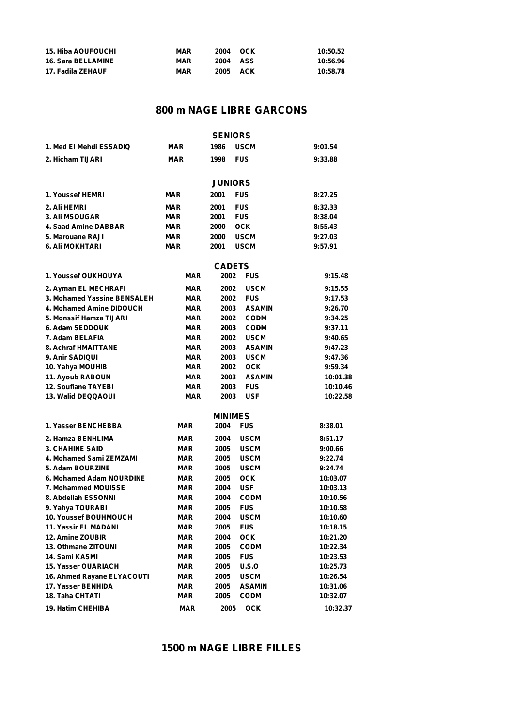| <b>15. Hiba AOUFOUCHI</b> | <b>MAR</b> | 2004     | оск | 10:50.52 |
|---------------------------|------------|----------|-----|----------|
| <b>16. Sara BELLAMINE</b> | <b>MAR</b> | 2004 ASS |     | 10:56.96 |
| 17. Fadila ZEHAUF         | <b>MAR</b> | 2005     | ACK | 10:58.78 |

|                              |            | <b>SENIORS</b> |               |          |
|------------------------------|------------|----------------|---------------|----------|
| 1. Med El Mehdi ESSADIQ      | <b>MAR</b> | 1986           | <b>USCM</b>   | 9:01.54  |
| 2. Hicham TIJARI             | <b>MAR</b> | 1998           | <b>FUS</b>    | 9:33.88  |
|                              |            | <b>JUNIORS</b> |               |          |
| 1. Youssef HEMRI             | MAR        | 2001           | <b>FUS</b>    | 8:27.25  |
|                              |            |                |               |          |
| 2. Ali HEMRI                 | <b>MAR</b> | 2001           | <b>FUS</b>    | 8:32.33  |
| <b>3. Ali MSOUGAR</b>        | <b>MAR</b> | 2001           | <b>FUS</b>    | 8:38.04  |
| 4. Saad Amine DABBAR         | <b>MAR</b> | 2000           | <b>OCK</b>    | 8:55.43  |
| 5. Marouane RAJI             | <b>MAR</b> | 2000           | <b>USCM</b>   | 9:27.03  |
| 6. Ali MOKHTARI              | <b>MAR</b> | 2001           | USCM          | 9:57.91  |
|                              |            | <b>CADETS</b>  |               |          |
| 1. Youssef OUKHOUYA          | MAR        | 2002           | <b>FUS</b>    | 9:15.48  |
| 2. Ayman EL MECHRAFI         | MAR        | 2002           | <b>USCM</b>   | 9:15.55  |
| 3. Mohamed Yassine BENSALEH  | MAR        | 2002           | <b>FUS</b>    | 9:17.53  |
| 4. Mohamed Amine DIDOUCH     | MAR        | 2003           | <b>ASAMIN</b> | 9:26.70  |
| 5. Monssif Hamza TIJARI      | MAR        | 2002           | <b>CODM</b>   | 9:34.25  |
| 6. Adam SEDDOUK              | MAR        | 2003           | <b>CODM</b>   | 9:37.11  |
| 7. Adam BELAFIA              | <b>MAR</b> | 2002           | <b>USCM</b>   | 9:40.65  |
| 8. Achraf HMAITTANE          | <b>MAR</b> | 2003           | <b>ASAMIN</b> | 9:47.23  |
| 9. Anir SADIQUI              | MAR        | 2003           | <b>USCM</b>   | 9:47.36  |
| 10. Yahya MOUHIB             | <b>MAR</b> | 2002           | <b>OCK</b>    | 9:59.34  |
| 11. Ayoub RABOUN             | <b>MAR</b> | 2003           | <b>ASAMIN</b> | 10:01.38 |
| <b>12. Soufiane TAYEBI</b>   | <b>MAR</b> | 2003           | <b>FUS</b>    | 10:10.46 |
| <b>13. Walid DEQQAOUI</b>    | <b>MAR</b> | 2003           | USF           | 10:22.58 |
|                              |            | <b>MINIMES</b> |               |          |
| 1. Yasser BENCHEBBA          | <b>MAR</b> | 2004           | <b>FUS</b>    | 8:38.01  |
| 2. Hamza BENHLIMA            | <b>MAR</b> | 2004           | <b>USCM</b>   | 8:51.17  |
| <b>3. CHAHINE SAID</b>       | <b>MAR</b> | 2005           | <b>USCM</b>   | 9:00.66  |
| 4. Mohamed Sami ZEMZAMI      | MAR        | 2005           | <b>USCM</b>   | 9:22.74  |
| 5. Adam BOURZINE             | MAR        | 2005           | <b>USCM</b>   | 9:24.74  |
| 6. Mohamed Adam NOURDINE     | <b>MAR</b> | 2005           | <b>OCK</b>    | 10:03.07 |
| 7. Mohammed MOUISSE          | MAR        | 2004           | <b>USF</b>    | 10:03.13 |
| 8. Abdellah ESSONNI          | <b>MAR</b> | 2004           | <b>CODM</b>   | 10:10.56 |
| 9. Yahya TOURABI             | MAR        | 2005           | <b>FUS</b>    | 10:10.58 |
| <b>10. Youssef BOUHMOUCH</b> | MAR        | 2004           | <b>USCM</b>   | 10:10.60 |
| 11. Yassir EL MADANI         | <b>MAR</b> | 2005           | <b>FUS</b>    | 10:18.15 |
| 12. Amine ZOUBIR             | <b>MAR</b> | 2004           | <b>OCK</b>    | 10:21.20 |
| 13. Othmane ZITOUNI          | <b>MAR</b> | 2005           | <b>CODM</b>   | 10:22.34 |
| 14. Sami KASMI               | <b>MAR</b> | 2005           | <b>FUS</b>    | 10:23.53 |
| 15. Yasser OUARIACH          | <b>MAR</b> | 2005           | U.S.O         | 10:25.73 |
| 16. Ahmed Rayane ELYACOUTI   | <b>MAR</b> | 2005           | <b>USCM</b>   | 10:26.54 |
| 17. Yasser BENHIDA           | <b>MAR</b> | 2005           | <b>ASAMIN</b> | 10:31.06 |
| 18. Taha CHTATI              | <b>MAR</b> | 2005           | <b>CODM</b>   | 10:32.07 |
| <b>19. Hatim CHEHIBA</b>     | <b>MAR</b> | 2005           | <b>OCK</b>    | 10:32.37 |

## **1500 m NAGE LIBRE FILLES**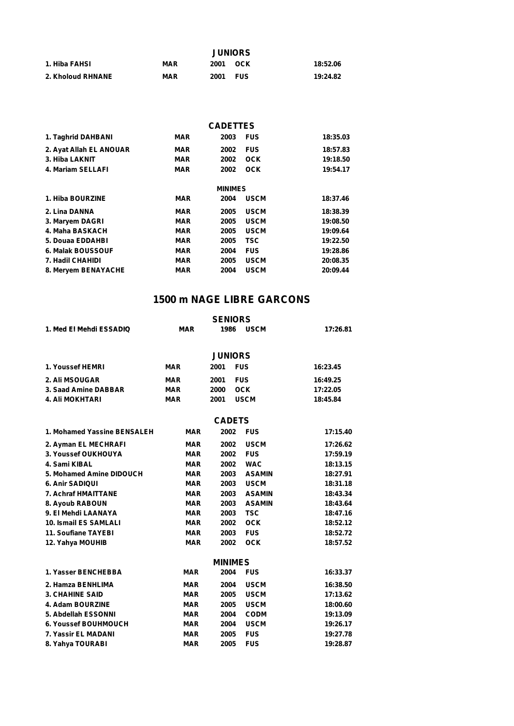|                   | <b>JUNIORS</b> |             |          |  |  |
|-------------------|----------------|-------------|----------|--|--|
| 1. Hiba FAHSI     | <b>MAR</b>     | 2001<br>OCK | 18:52.06 |  |  |
| 2. Kholoud RHNANE | <b>MAR</b>     | 2001<br>FUS | 19:24.82 |  |  |

| 2003 | <b>FUS</b>                                                                                                                                                           | 18:35.03                          |
|------|----------------------------------------------------------------------------------------------------------------------------------------------------------------------|-----------------------------------|
| 2002 | <b>FUS</b>                                                                                                                                                           | 18:57.83                          |
| 2002 | <b>OCK</b>                                                                                                                                                           | 19:18.50                          |
| 2002 | <b>OCK</b>                                                                                                                                                           | 19:54.17                          |
|      |                                                                                                                                                                      |                                   |
| 2004 | <b>USCM</b>                                                                                                                                                          | 18:37.46                          |
| 2005 | <b>USCM</b>                                                                                                                                                          | 18:38.39                          |
| 2005 | <b>USCM</b>                                                                                                                                                          | 19:08.50                          |
| 2005 | <b>USCM</b>                                                                                                                                                          | 19:09.64                          |
| 2005 | <b>TSC</b>                                                                                                                                                           | 19:22.50                          |
| 2004 | <b>FUS</b>                                                                                                                                                           | 19:28.86                          |
| 2005 | <b>USCM</b>                                                                                                                                                          | 20:08.35                          |
| 2004 | <b>USCM</b>                                                                                                                                                          | 20:09.44                          |
|      | <b>MAR</b><br><b>MAR</b><br><b>MAR</b><br><b>MAR</b><br><b>MAR</b><br><b>MAR</b><br><b>MAR</b><br><b>MAR</b><br><b>MAR</b><br><b>MAR</b><br><b>MAR</b><br><b>MAR</b> | <b>CADETTES</b><br><b>MINIMES</b> |

|                              |            | <b>SENIORS</b>        |          |
|------------------------------|------------|-----------------------|----------|
| 1. Med El Mehdi ESSADIQ      | <b>MAR</b> | 1986<br><b>USCM</b>   | 17:26.81 |
|                              |            | <b>JUNIORS</b>        |          |
| 1. Youssef HEMRI             | <b>MAR</b> | 2001<br><b>FUS</b>    | 16:23.45 |
| 2. Ali MSOUGAR               | <b>MAR</b> | <b>FUS</b><br>2001    | 16:49.25 |
| 3. Saad Amine DABBAR         | <b>MAR</b> | 2000<br><b>OCK</b>    | 17:22.05 |
| <b>4. Ali MOKHTARI</b>       | <b>MAR</b> | <b>USCM</b><br>2001   | 18:45.84 |
|                              |            | <b>CADETS</b>         |          |
| 1. Mohamed Yassine BENSALEH  | <b>MAR</b> | 2002<br><b>FUS</b>    | 17:15.40 |
| 2. Ayman EL MECHRAFI         | <b>MAR</b> | 2002<br><b>USCM</b>   | 17:26.62 |
| 3. Youssef OUKHOUYA          | <b>MAR</b> | <b>FUS</b><br>2002    | 17:59.19 |
| 4. Sami KIBAL                | <b>MAR</b> | <b>WAC</b><br>2002    | 18:13.15 |
| 5. Mohamed Amine DIDOUCH     | <b>MAR</b> | <b>ASAMIN</b><br>2003 | 18:27.91 |
| <b>6. Anir SADIQUI</b>       | <b>MAR</b> | <b>USCM</b><br>2003   | 18:31.18 |
| 7. Achraf HMAITTANE          | <b>MAR</b> | 2003<br><b>ASAMIN</b> | 18:43.34 |
| 8. Ayoub RABOUN              | <b>MAR</b> | 2003<br><b>ASAMIN</b> | 18:43.64 |
| 9. El Mehdi LAANAYA          | <b>MAR</b> | <b>TSC</b><br>2003    | 18:47.16 |
| <b>10. Ismail ES SAMLALI</b> | <b>MAR</b> | <b>OCK</b><br>2002    | 18:52.12 |
| 11. Soufiane TAYEBI          | <b>MAR</b> | 2003<br><b>FUS</b>    | 18:52.72 |
| 12. Yahya MOUHIB             | <b>MAR</b> | <b>OCK</b><br>2002    | 18:57.52 |
|                              |            | <b>MINIMES</b>        |          |
| 1. Yasser BENCHEBBA          | <b>MAR</b> | 2004<br><b>FUS</b>    | 16:33.37 |
| 2. Hamza BENHLIMA            | <b>MAR</b> | <b>USCM</b><br>2004   | 16:38.50 |
| <b>3. CHAHINE SAID</b>       | <b>MAR</b> | <b>USCM</b><br>2005   | 17:13.62 |
| 4. Adam BOURZINE             | <b>MAR</b> | 2005<br><b>USCM</b>   | 18:00.60 |
| 5. Abdellah ESSONNI          | <b>MAR</b> | 2004<br><b>CODM</b>   | 19:13.09 |
| <b>6. Youssef BOUHMOUCH</b>  | <b>MAR</b> | 2004<br><b>USCM</b>   | 19:26.17 |
| 7. Yassir EL MADANI          | <b>MAR</b> | <b>FUS</b><br>2005    | 19:27.78 |
| 8. Yahya TOURABI             | <b>MAR</b> | <b>FUS</b><br>2005    | 19:28.87 |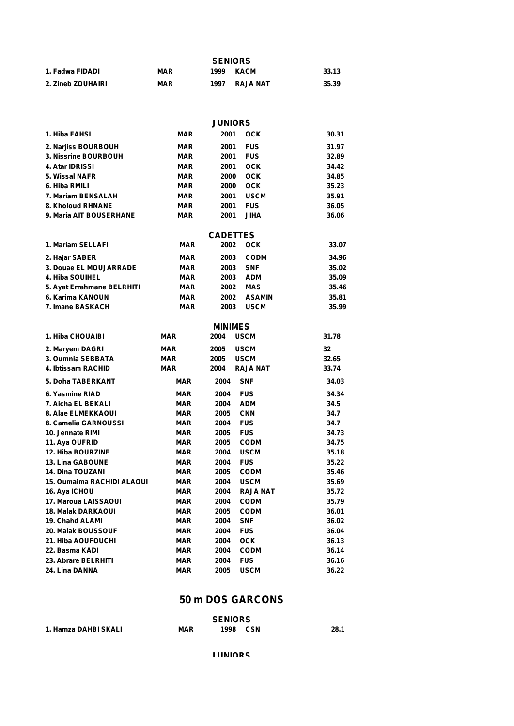|                          | <b>SENIORS</b> |      |          |       |  |  |
|--------------------------|----------------|------|----------|-------|--|--|
| 1. Fadwa FIDADI          | <b>MAR</b>     | 1999 | KACM     | 33.13 |  |  |
| <b>2. Zineb ZOUHAIRI</b> | <b>MAR</b>     | 1997 | RAJA NAT | 35.39 |  |  |

|                                       |                          | <b>JUNIORS</b>  |                           |                |
|---------------------------------------|--------------------------|-----------------|---------------------------|----------------|
| 1. Hiba FAHSI                         | <b>MAR</b>               | 2001            | <b>OCK</b>                | 30.31          |
| 2. Narjiss BOURBOUH                   | <b>MAR</b>               | 2001            | <b>FUS</b>                | 31.97          |
| 3. Nissrine BOURBOUH                  | <b>MAR</b>               | 2001            | <b>FUS</b>                | 32.89          |
| 4. Atar IDRISSI                       | <b>MAR</b>               | 2001            | оск                       | 34.42          |
| 5. Wissal NAFR                        | <b>MAR</b>               | 2000            | <b>OCK</b>                | 34.85          |
| 6. Hiba RMILI                         | <b>MAR</b>               | 2000            | оск                       | 35.23          |
| 7. Mariam BENSALAH                    | <b>MAR</b>               | 2001            | <b>USCM</b>               | 35.91          |
| 8. Kholoud RHNANE                     | <b>MAR</b>               | 2001            | <b>FUS</b>                | 36.05          |
| 9. Maria AIT BOUSERHANE               | <b>MAR</b>               | 2001            | JIHA                      | 36.06          |
|                                       |                          | <b>CADETTES</b> |                           |                |
| 1. Mariam SELLAFI                     | <b>MAR</b>               | 2002            | <b>OCK</b>                | 33.07          |
| 2. Hajar SABER                        | <b>MAR</b>               | 2003            | <b>CODM</b>               | 34.96          |
| 3. Douae EL MOUJARRADE                | <b>MAR</b>               | 2003            | <b>SNF</b>                | 35.02          |
| 4. Hiba SOUIHEL                       | <b>MAR</b>               | 2003            | ADM                       | 35.09          |
| 5. Ayat Errahmane BELRHITI            | <b>MAR</b>               | 2002            | MAS                       | 35.46          |
| 6. Karima KANOUN                      | <b>MAR</b>               | 2002            | <b>ASAMIN</b>             | 35.81          |
| 7. Imane BASKACH                      | <b>MAR</b>               | 2003            | <b>USCM</b>               | 35.99          |
|                                       |                          | <b>MINIMES</b>  |                           |                |
| 1. Hiba CHOUAIBI                      | MAR                      | 2004            | <b>USCM</b>               | 31.78          |
| 2. Maryem DAGRI                       | <b>MAR</b>               | 2005            | <b>USCM</b>               | 32             |
| 3. Oumnia SEBBATA                     | <b>MAR</b>               | 2005            | <b>USCM</b>               | 32.65          |
| 4. Ibtissam RACHID                    | <b>MAR</b>               | 2004            | <b>RAJA NAT</b>           | 33.74          |
| 5. Doha TABERKANT                     | <b>MAR</b>               | 2004            | <b>SNF</b>                | 34.03          |
| 6. Yasmine RIAD                       | <b>MAR</b>               | 2004            | <b>FUS</b>                | 34.34          |
| 7. Aicha EL BEKALI                    | <b>MAR</b>               | 2004            | <b>ADM</b>                | 34.5           |
| 8. Alae ELMEKKAOUI                    | <b>MAR</b>               | 2005            | <b>CNN</b>                | 34.7           |
| 8. Camelia GARNOUSSI                  | <b>MAR</b>               | 2004            | <b>FUS</b>                | 34.7           |
| 10. Jennate RIMI                      | <b>MAR</b>               | 2005            | <b>FUS</b>                | 34.73          |
| 11. Aya OUFRID                        | <b>MAR</b>               | 2005            | <b>CODM</b>               | 34.75          |
| <b>12. Hiba BOURZINE</b>              | <b>MAR</b>               | 2004            | <b>USCM</b>               | 35.18          |
| 13. Lina GABOUNE                      | <b>MAR</b>               | 2004            | <b>FUS</b>                | 35.22          |
| <b>14. Dina TOUZANI</b>               | <b>MAR</b>               | 2005            | <b>CODM</b>               | 35.46          |
| 15. Oumaima RACHIDI ALAOUI            | MAR                      | 2004            | <b>USCM</b>               | 35.69          |
| 16. Aya ICHOU                         | <b>MAR</b>               | 2004            | <b>RAJA NAT</b>           | 35.72          |
| 17. Maroua LAISSAOUI                  | <b>MAR</b>               | 2004            | <b>CODM</b>               | 35.79          |
| <b>18. Malak DARKAOUI</b>             | <b>MAR</b>               | 2005            | <b>CODM</b>               | 36.01          |
| 19. Chahd ALAMI<br>20. Malak BOUSSOUF | <b>MAR</b>               | 2004<br>2004    | <b>SNF</b>                | 36.02          |
|                                       | <b>MAR</b>               | 2004            | <b>FUS</b>                | 36.04          |
| 21. Hiba AOUFOUCHI<br>22. Basma KADI  | <b>MAR</b><br><b>MAR</b> | 2004            | <b>OCK</b><br><b>CODM</b> | 36.13<br>36.14 |
| 23. Abrare BELRHITI                   | <b>MAR</b>               | 2004            | <b>FUS</b>                | 36.16          |
| 24. Lina DANNA                        | <b>MAR</b>               | 2005            | <b>USCM</b>               | 36.22          |
|                                       |                          |                 |                           |                |

### **50 m DOS GARCONS**

|                      |            | <b>SENIORS</b> |     |      |
|----------------------|------------|----------------|-----|------|
| 1. Hamza DAHBI SKALI | <b>MAR</b> | 1998           | CSN | 28.1 |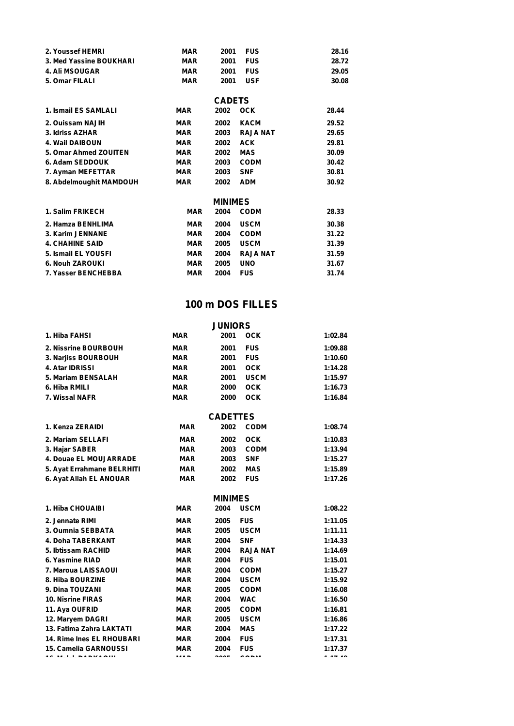| 2. Youssef HEMRI        | MAR        | 2001           | <b>FUS</b>      | 28.16 |  |
|-------------------------|------------|----------------|-----------------|-------|--|
| 3. Med Yassine BOUKHARI | <b>MAR</b> | 2001           | <b>FUS</b>      | 28.72 |  |
| <b>4. Ali MSOUGAR</b>   | <b>MAR</b> | 2001           | <b>FUS</b>      | 29.05 |  |
| 5. Omar FILALI          | <b>MAR</b> | 2001           | <b>USF</b>      | 30.08 |  |
|                         |            | <b>CADETS</b>  |                 |       |  |
| 1. Ismail ES SAMLALI    | <b>MAR</b> | 2002           | <b>OCK</b>      | 28.44 |  |
| 2. Ouissam NAJIH        | <b>MAR</b> | 2002           | <b>KACM</b>     | 29.52 |  |
| 3. Idriss AZHAR         | <b>MAR</b> | 2003           | <b>RAJA NAT</b> | 29.65 |  |
| <b>4. Wail DAIBOUN</b>  | <b>MAR</b> | 2002           | <b>ACK</b>      | 29.81 |  |
| 5. Omar Ahmed ZOUITEN   | <b>MAR</b> | 2002           | <b>MAS</b>      | 30.09 |  |
| 6. Adam SEDDOUK         | <b>MAR</b> | 2003           | <b>CODM</b>     | 30.42 |  |
| 7. Ayman MEFETTAR       | <b>MAR</b> | 2003           | <b>SNF</b>      | 30.81 |  |
| 8. Abdelmoughit MAMDOUH | <b>MAR</b> | 2002           | <b>ADM</b>      | 30.92 |  |
|                         |            | <b>MINIMES</b> |                 |       |  |
| 1. Salim FRIKECH        | <b>MAR</b> | 2004           | <b>CODM</b>     | 28.33 |  |
| 2. Hamza BENHLIMA       | <b>MAR</b> | 2004           | <b>USCM</b>     | 30.38 |  |
| 3. Karim JENNANE        | <b>MAR</b> | 2004           | <b>CODM</b>     | 31.22 |  |
| <b>4. CHAHINE SAID</b>  | <b>MAR</b> | 2005           | <b>USCM</b>     | 31.39 |  |
| 5. Ismail EL YOUSFI     | <b>MAR</b> | 2004           | <b>RAJA NAT</b> | 31.59 |  |
|                         |            |                |                 |       |  |

**7. Yasser BENCHEBBA MAR 2004 FUS 31.74 6. Nouh ZAROUKI MAR 2005 UNO 31.67**

### **100 m DOS FILLES**

|                                  |            | <b>JUNIORS</b>  |                 |         |
|----------------------------------|------------|-----------------|-----------------|---------|
| 1. Hiba FAHSI                    | <b>MAR</b> | 2001            | <b>OCK</b>      | 1:02.84 |
| 2. Nissrine BOURBOUH             | <b>MAR</b> | 2001            | <b>FUS</b>      | 1:09.88 |
| 3. Narjiss BOURBOUH              | <b>MAR</b> | 2001            | <b>FUS</b>      | 1:10.60 |
| 4. Atar IDRISSI                  | <b>MAR</b> | 2001            | <b>OCK</b>      | 1:14.28 |
| 5. Mariam BENSALAH               | <b>MAR</b> | 2001            | <b>USCM</b>     | 1:15.97 |
| 6. Hiba RMILI                    | <b>MAR</b> | 2000            | <b>OCK</b>      | 1:16.73 |
| 7. Wissal NAFR                   | <b>MAR</b> | 2000            | <b>OCK</b>      | 1:16.84 |
|                                  |            | <b>CADETTES</b> |                 |         |
| 1. Kenza ZERAIDI                 | <b>MAR</b> | 2002            | <b>CODM</b>     | 1:08.74 |
| 2. Mariam SELLAFI                | <b>MAR</b> | 2002            | <b>OCK</b>      | 1:10.83 |
| 3. Hajar SABER                   | <b>MAR</b> | 2003            | <b>CODM</b>     | 1:13.94 |
| 4. Douae EL MOUJARRADE           | <b>MAR</b> | 2003            | <b>SNF</b>      | 1:15.27 |
| 5. Ayat Errahmane BELRHITI       | <b>MAR</b> | 2002            | <b>MAS</b>      | 1:15.89 |
| 6. Ayat Allah EL ANOUAR          | <b>MAR</b> | 2002            | <b>FUS</b>      | 1:17.26 |
|                                  |            | <b>MINIMES</b>  |                 |         |
| 1. Hiba CHOUAIBI                 | <b>MAR</b> | 2004            | <b>USCM</b>     | 1:08.22 |
| 2. Jennate RIMI                  | <b>MAR</b> | 2005            | <b>FUS</b>      | 1:11.05 |
| 3. Oumnia SEBBATA                | <b>MAR</b> | 2005            | <b>USCM</b>     | 1:11.11 |
| 4. Doha TABERKANT                | <b>MAR</b> | 2004            | <b>SNF</b>      | 1:14.33 |
| 5. Ibtissam RACHID               | <b>MAR</b> | 2004            | <b>RAJA NAT</b> | 1:14.69 |
| 6. Yasmine RIAD                  | <b>MAR</b> | 2004            | <b>FUS</b>      | 1:15.01 |
| 7. Maroua LAISSAOUI              | <b>MAR</b> | 2004            | <b>CODM</b>     | 1:15.27 |
| 8. Hiba BOURZINE                 | <b>MAR</b> | 2004            | <b>USCM</b>     | 1:15.92 |
| 9. Dina TOUZANI                  | <b>MAR</b> | 2005            | <b>CODM</b>     | 1:16.08 |
| <b>10. Nisrine FIRAS</b>         | <b>MAR</b> | 2004            | <b>WAC</b>      | 1:16.50 |
| 11. Aya OUFRID                   | <b>MAR</b> | 2005            | <b>CODM</b>     | 1:16.81 |
| 12. Maryem DAGRI                 | <b>MAR</b> | 2005            | <b>USCM</b>     | 1:16.86 |
| 13. Fatima Zahra LAKTATI         | <b>MAR</b> | 2004            | <b>MAS</b>      | 1:17.22 |
| <b>14. Rime Ines EL RHOUBARI</b> | <b>MAR</b> | 2004            | <b>FUS</b>      | 1:17.31 |

**16. Malak DARKAOUI MAR 2005 CODM 1:17.48 15. Camelia GARNOUSSI MAR 2004 FUS 1:17.37**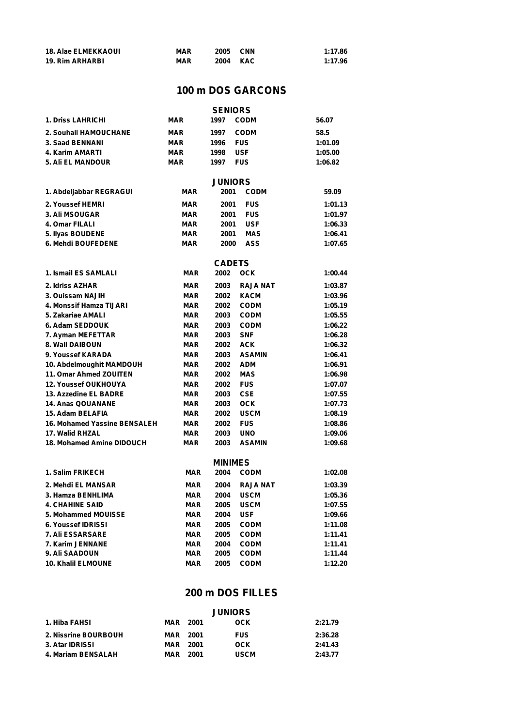| <b>18. Alae ELMEKKAOUI</b> | <b>MAR</b> | 2005     | <b>CNN</b> | 1:17.86 |
|----------------------------|------------|----------|------------|---------|
| <b>19. Rim ARHARBI</b>     | <b>MAR</b> | 2004 KAC |            | 1:17.96 |

### **100 m DOS GARCONS**

|                                     |            | <b>SENIORS</b> |                 |         |
|-------------------------------------|------------|----------------|-----------------|---------|
| <b>1. Driss LAHRICHI</b>            | <b>MAR</b> | 1997           | <b>CODM</b>     | 56.07   |
| 2. Souhail HAMOUCHANE               | <b>MAR</b> | 1997           | <b>CODM</b>     | 58.5    |
| 3. Saad BENNANI                     | MAR        | 1996           | <b>FUS</b>      | 1:01.09 |
| 4. Karim AMARTI                     | <b>MAR</b> | 1998           | <b>USF</b>      | 1:05.00 |
| 5. Ali EL MANDOUR                   | <b>MAR</b> | 1997           | <b>FUS</b>      | 1:06.82 |
|                                     |            |                |                 |         |
|                                     |            | <b>JUNIORS</b> |                 |         |
| 1. Abdeljabbar REGRAGUI             | MAR        | 2001           | <b>CODM</b>     | 59.09   |
| 2. Youssef HEMRI                    | <b>MAR</b> | 2001           | <b>FUS</b>      | 1:01.13 |
| <b>3. Ali MSOUGAR</b>               | <b>MAR</b> | 2001           | <b>FUS</b>      | 1:01.97 |
| 4. Omar FILALI                      | <b>MAR</b> | 2001           | <b>USF</b>      | 1:06.33 |
| 5. Ilyas BOUDENE                    | MAR        | 2001           | <b>MAS</b>      | 1:06.41 |
| 6. Mehdi BOUFEDENE                  | <b>MAR</b> | 2000           | <b>ASS</b>      | 1:07.65 |
|                                     |            | <b>CADETS</b>  |                 |         |
| 1. Ismail ES SAMLALI                | MAR        | 2002           | <b>OCK</b>      | 1:00.44 |
|                                     |            |                |                 |         |
| 2. Idriss AZHAR                     | <b>MAR</b> | 2003           | <b>RAJA NAT</b> | 1:03.87 |
| 3. Ouissam NAJIH                    | <b>MAR</b> | 2002           | <b>KACM</b>     | 1:03.96 |
| 4. Monssif Hamza TIJARI             | <b>MAR</b> | 2002           | <b>CODM</b>     | 1:05.19 |
| 5. Zakariae AMALI                   | <b>MAR</b> | 2003           | <b>CODM</b>     | 1:05.55 |
| 6. Adam SEDDOUK                     | <b>MAR</b> | 2003           | <b>CODM</b>     | 1:06.22 |
| 7. Ayman MEFETTAR                   | <b>MAR</b> | 2003           | <b>SNF</b>      | 1:06.28 |
| 8. Wail DAIBOUN                     | <b>MAR</b> | 2002           | <b>ACK</b>      | 1:06.32 |
| 9. Youssef KARADA                   | MAR        | 2003           | <b>ASAMIN</b>   | 1:06.41 |
| 10. Abdelmoughit MAMDOUH            | <b>MAR</b> | 2002           | <b>ADM</b>      | 1:06.91 |
| 11. Omar Ahmed ZOUITEN              | <b>MAR</b> | 2002           | <b>MAS</b>      | 1:06.98 |
| <b>12. Youssef OUKHOUYA</b>         | <b>MAR</b> | 2002           | <b>FUS</b>      | 1:07.07 |
| 13. Azzedine EL BADRE               | <b>MAR</b> | 2003           | <b>CSE</b>      | 1:07.55 |
| <b>14. Anas QOUANANE</b>            | <b>MAR</b> | 2003           | <b>OCK</b>      | 1:07.73 |
| 15. Adam BELAFIA                    | <b>MAR</b> | 2002           | <b>USCM</b>     | 1:08.19 |
| <b>16. Mohamed Yassine BENSALEH</b> | <b>MAR</b> | 2002           | <b>FUS</b>      | 1:08.86 |
| 17. Walid RHZAL                     | <b>MAR</b> | 2003           | <b>UNO</b>      | 1:09.06 |
| 18. Mohamed Amine DIDOUCH           | <b>MAR</b> | 2003           | <b>ASAMIN</b>   | 1:09.68 |
|                                     |            | <b>MINIMES</b> |                 |         |
| 1. Salim FRIKECH                    | <b>MAR</b> | 2004           | <b>CODM</b>     | 1:02.08 |
| 2. Mehdi EL MANSAR                  | <b>MAR</b> | 2004           | <b>RAJA NAT</b> | 1:03.39 |
| 3. Hamza BENHLIMA                   | MAR        | 2004           | <b>USCM</b>     | 1:05.36 |
| <b>4. CHAHINE SAID</b>              | <b>MAR</b> | 2005           | <b>USCM</b>     | 1:07.55 |
| 5. Mohammed MOUISSE                 | <b>MAR</b> | 2004           | <b>USF</b>      | 1:09.66 |
| <b>6. Youssef IDRISSI</b>           | <b>MAR</b> | 2005           | <b>CODM</b>     | 1:11.08 |
| 7. Ali ESSARSARE                    | <b>MAR</b> | 2005           | <b>CODM</b>     | 1:11.41 |
| 7. Karim JENNANE                    | <b>MAR</b> | 2004           | <b>CODM</b>     | 1:11.41 |
| 9. Ali SAADOUN                      | <b>MAR</b> | 2005           | <b>CODM</b>     | 1:11.44 |
| <b>10. Khalil ELMOUNE</b>           | <b>MAR</b> | 2005           | <b>CODM</b>     | 1:12.20 |

### **200 m DOS FILLES**

|                      |                 |        | <b>JUNIORS</b> |         |
|----------------------|-----------------|--------|----------------|---------|
| 1. Hiba FAHSI        | MAR             | - 2001 | оск            | 2:21.79 |
| 2. Nissrine BOURBOUH | <b>MAR</b> 2001 |        | <b>FUS</b>     | 2:36.28 |
| 3. Atar IDRISSI      | MAR             | 2001   | OCK            | 2:41.43 |
| 4. Mariam BENSALAH   | MAR             | 2001   | <b>USCM</b>    | 2:43.77 |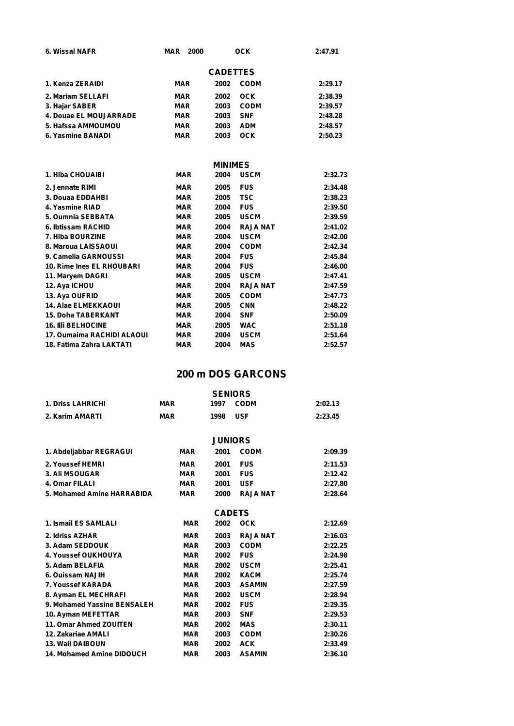| 6. Wissal NAFR         | MAR<br>2000 |                 | <b>OCK</b>  | 2:47.91    |
|------------------------|-------------|-----------------|-------------|------------|
|                        |             | <b>CADETTES</b> |             |            |
| 1. Kenza ZERAIDI       | MAR         | 2002            | <b>CODM</b> | 2:29.17    |
| 2. Mariam SELLAFI      | MAR         | 2002            | <b>OCK</b>  | 2:38.39    |
| 3. Hajar SABER         | MAR         | 2003            | <b>CODM</b> | 2:39.57    |
| 4. Douae EL MOUJARRADE | MAR         | 2003            | <b>SNF</b>  | 2:48.28    |
| 5. Hafssa AMMOUMOU     | MAR         | 2003            | ADM         | 2:48.57    |
| 6. Yasmine BANADI      | MAR         | 2003            | <b>OCK</b>  | 2:50.23    |
|                        |             | <b>MINIMES</b>  |             |            |
| 1. Hiba CHOUAIBI       | <b>MAR</b>  | 2004            | <b>USCM</b> | 2:32.73    |
| 2. Jennate RIMI        | <b>MAR</b>  | 2005            | <b>FUS</b>  | 2:34.48    |
| <b>COLLERATION</b>     |             | AAAF            | T00         | n. nn. nn. |

| <b>MAR</b> | 2005 | <b>TSC</b>      | 2:38.23 |  |
|------------|------|-----------------|---------|--|
| <b>MAR</b> | 2004 | <b>FUS</b>      | 2:39.50 |  |
| <b>MAR</b> | 2005 | <b>USCM</b>     | 2:39.59 |  |
| <b>MAR</b> | 2004 | <b>RAJA NAT</b> | 2:41.02 |  |
| <b>MAR</b> | 2004 | <b>USCM</b>     | 2:42.00 |  |
| <b>MAR</b> | 2004 | <b>CODM</b>     | 2:42.34 |  |
| <b>MAR</b> | 2004 | <b>FUS</b>      | 2:45.84 |  |
| <b>MAR</b> | 2004 | <b>FUS</b>      | 2:46.00 |  |
| <b>MAR</b> | 2005 | <b>USCM</b>     | 2:47.41 |  |
| <b>MAR</b> | 2004 | <b>RAJA NAT</b> | 2:47.59 |  |
| <b>MAR</b> | 2005 | <b>CODM</b>     | 2:47.73 |  |
| <b>MAR</b> | 2005 | <b>CNN</b>      | 2:48.22 |  |
| <b>MAR</b> | 2004 | <b>SNF</b>      | 2:50.09 |  |
| MAR        | 2005 | <b>WAC</b>      | 2:51.18 |  |
| <b>MAR</b> | 2004 | <b>USCM</b>     | 2:51.64 |  |
| <b>MAR</b> | 2004 | <b>MAS</b>      | 2:52.57 |  |
|            |      |                 |         |  |

### **200 m DOS GARCONS**

| <b>MAR</b> | 1997 | <b>CODM</b>     | 2:02.13                                                                                                                                                           |
|------------|------|-----------------|-------------------------------------------------------------------------------------------------------------------------------------------------------------------|
| <b>MAR</b> | 1998 | <b>USF</b>      | 2:23.45                                                                                                                                                           |
|            |      |                 |                                                                                                                                                                   |
| <b>MAR</b> | 2001 | <b>CODM</b>     | 2:09.39                                                                                                                                                           |
| <b>MAR</b> | 2001 | <b>FUS</b>      | 2:11.53                                                                                                                                                           |
| <b>MAR</b> | 2001 | <b>FUS</b>      | 2:12.42                                                                                                                                                           |
| <b>MAR</b> | 2001 | <b>USF</b>      | 2:27.80                                                                                                                                                           |
| <b>MAR</b> |      | <b>RAJA NAT</b> | 2:28.64                                                                                                                                                           |
|            |      |                 |                                                                                                                                                                   |
| <b>MAR</b> |      | <b>OCK</b>      | 2:12.69                                                                                                                                                           |
| <b>MAR</b> |      | <b>RAJA NAT</b> | 2:16.03                                                                                                                                                           |
| <b>MAR</b> |      | <b>CODM</b>     | 2:22.25                                                                                                                                                           |
| <b>MAR</b> |      | <b>FUS</b>      | 2:24.98                                                                                                                                                           |
| <b>MAR</b> |      | <b>USCM</b>     | 2:25.41                                                                                                                                                           |
| <b>MAR</b> |      | <b>KACM</b>     | 2:25.74                                                                                                                                                           |
| <b>MAR</b> |      | <b>ASAMIN</b>   | 2:27.59                                                                                                                                                           |
| <b>MAR</b> |      | <b>USCM</b>     | 2:28.94                                                                                                                                                           |
| <b>MAR</b> |      | <b>FUS</b>      | 2:29.35                                                                                                                                                           |
| <b>MAR</b> |      | <b>SNF</b>      | 2:29.53                                                                                                                                                           |
| <b>MAR</b> |      | <b>MAS</b>      | 2:30.11                                                                                                                                                           |
| <b>MAR</b> |      | <b>CODM</b>     | 2:30.26                                                                                                                                                           |
| <b>MAR</b> |      | <b>ACK</b>      | 2:33.49                                                                                                                                                           |
| <b>MAR</b> | 2003 | <b>ASAMIN</b>   | 2:36.10                                                                                                                                                           |
|            |      |                 | <b>SENIORS</b><br><b>JUNIORS</b><br>2000<br><b>CADETS</b><br>2002<br>2003<br>2003<br>2002<br>2002<br>2002<br>2003<br>2002<br>2002<br>2003<br>2002<br>2003<br>2002 |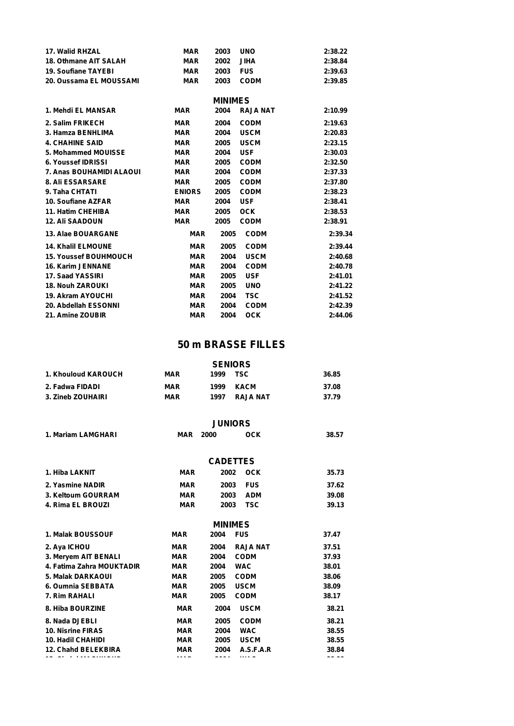| 17. Walid RHZAL              | <b>MAR</b>    | 2003           | <b>UNO</b>      | 2:38.22 |
|------------------------------|---------------|----------------|-----------------|---------|
| 18. Othmane AIT SALAH        | <b>MAR</b>    | 2002           | <b>JIHA</b>     | 2:38.84 |
| 19. Soufiane TAYEBI          | <b>MAR</b>    | 2003           | <b>FUS</b>      | 2:39.63 |
| 20. Oussama EL MOUSSAMI      | <b>MAR</b>    | 2003           | <b>CODM</b>     | 2:39.85 |
|                              |               | <b>MINIMES</b> |                 |         |
| 1. Mehdi EL MANSAR           | <b>MAR</b>    | 2004           | <b>RAJA NAT</b> | 2:10.99 |
| 2. Salim FRIKECH             | <b>MAR</b>    | 2004           | <b>CODM</b>     | 2:19.63 |
| 3. Hamza BENHLIMA            | <b>MAR</b>    | 2004           | <b>USCM</b>     | 2:20.83 |
| <b>4. CHAHINE SAID</b>       | <b>MAR</b>    | 2005           | <b>USCM</b>     | 2:23.15 |
| 5. Mohammed MOUISSE          | <b>MAR</b>    | 2004           | <b>USF</b>      | 2:30.03 |
| 6. Youssef IDRISSI           | <b>MAR</b>    | 2005           | <b>CODM</b>     | 2:32.50 |
| 7. Anas BOUHAMIDI ALAOUI     | <b>MAR</b>    | 2004           | <b>CODM</b>     | 2:37.33 |
| <b>8. Ali ESSARSARE</b>      | <b>MAR</b>    | 2005           | <b>CODM</b>     | 2:37.80 |
| 9. Taha CHTATI               | <b>ENIORS</b> | 2005           | <b>CODM</b>     | 2:38.23 |
| 10. Soufiane AZFAR           | <b>MAR</b>    | 2004           | <b>USF</b>      | 2:38.41 |
| 11. Hatim CHEHIBA            | <b>MAR</b>    | 2005           | <b>OCK</b>      | 2:38.53 |
| <b>12. Ali SAADOUN</b>       | <b>MAR</b>    | 2005           | <b>CODM</b>     | 2:38.91 |
| 13. Alae BOUARGANE           | <b>MAR</b>    | 2005           | <b>CODM</b>     | 2:39.34 |
| <b>14. Khalil ELMOUNE</b>    | <b>MAR</b>    | 2005           | <b>CODM</b>     | 2:39.44 |
| <b>15. Youssef BOUHMOUCH</b> | <b>MAR</b>    | 2004           | <b>USCM</b>     | 2:40.68 |
| <b>16. Karim JENNANE</b>     | <b>MAR</b>    | 2004           | <b>CODM</b>     | 2:40.78 |
| 17. Saad YASSIRI             | <b>MAR</b>    | 2005           | <b>USF</b>      | 2:41.01 |
| <b>18. Nouh ZAROUKI</b>      | <b>MAR</b>    | 2005           | <b>UNO</b>      | 2:41.22 |
| <b>19. Akram AYOUCHI</b>     | <b>MAR</b>    | 2004           | <b>TSC</b>      | 2:41.52 |
| 20. Abdellah ESSONNI         | <b>MAR</b>    | 2004           | <b>CODM</b>     | 2:42.39 |
| 21. Amine ZOUBIR             | <b>MAR</b>    | 2004           | <b>OCK</b>      | 2:44.06 |

### **50 m BRASSE FILLES**

|                     | <b>SENIORS</b> |      |          |       |  |
|---------------------|----------------|------|----------|-------|--|
| 1. Khouloud KAROUCH | <b>MAR</b>     | 1999 | TSC      | 36.85 |  |
| 2. Fadwa FIDADI     | <b>MAR</b>     | 1999 | KACM     | 37.08 |  |
| 3. Zineb ZOUHAIRI   | <b>MAR</b>     | 1997 | RAJA NAT | 37.79 |  |

#### **JUNIORS**

|                    | ---------       |     |       |
|--------------------|-----------------|-----|-------|
| 1. Mariam LAMGHARI | <b>MAR 2000</b> | OCK | 38.57 |

|                            |            | <b>CADETTES</b>         |       |
|----------------------------|------------|-------------------------|-------|
| 1. Hiba LAKNIT             | <b>MAR</b> | 2002<br><b>OCK</b>      | 35.73 |
| 2. Yasmine NADIR           | <b>MAR</b> | <b>FUS</b><br>2003      | 37.62 |
| 3. Keltoum GOURRAM         | <b>MAR</b> | 2003<br><b>ADM</b>      | 39.08 |
| 4. Rima EL BROUZI          | <b>MAR</b> | <b>TSC</b><br>2003      | 39.13 |
|                            |            | <b>MINIMES</b>          |       |
| 1. Malak BOUSSOUF          | <b>MAR</b> | <b>FUS</b><br>2004      | 37.47 |
| 2. Aya ICHOU               | <b>MAR</b> | <b>RAJA NAT</b><br>2004 | 37.51 |
| 3. Meryem AIT BENALI       | <b>MAR</b> | <b>CODM</b><br>2004     | 37.93 |
| 4. Fatima Zahra MOUKTADIR  | <b>MAR</b> | <b>WAC</b><br>2004      | 38.01 |
| <b>5. Malak DARKAOUI</b>   | <b>MAR</b> | 2005<br><b>CODM</b>     | 38.06 |
| 6. Oumnia SEBBATA          | <b>MAR</b> | <b>USCM</b><br>2005     | 38.09 |
| 7. Rim RAHALI              | <b>MAR</b> | <b>CODM</b><br>2005     | 38.17 |
| 8. Hiba BOURZINE           | <b>MAR</b> | <b>USCM</b><br>2004     | 38.21 |
| 8. Nada DJEBLI             | <b>MAR</b> | <b>CODM</b><br>2005     | 38.21 |
| <b>10. Nisrine FIRAS</b>   | <b>MAR</b> | <b>WAC</b><br>2004      | 38.55 |
| <b>10. Hadil CHAHIDI</b>   | <b>MAR</b> | <b>USCM</b><br>2005     | 38.55 |
| <b>12. Chahd BELEKBIRA</b> | <b>MAR</b> | A.S.F.A.R<br>2004       | 38.84 |

**13. Chahd MACHKOUR MAR 2004 WAC 38.88**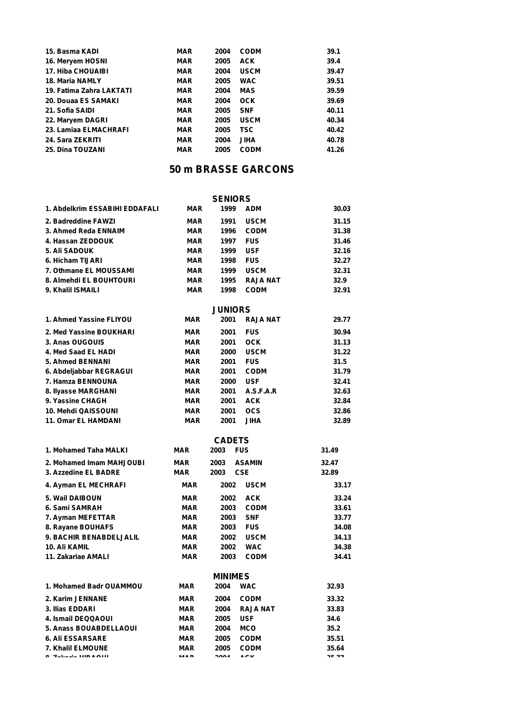| 15. Basma KADI           | <b>MAR</b> | 2004 | <b>CODM</b> | 39.1  |
|--------------------------|------------|------|-------------|-------|
| 16. Meryem HOSNI         | <b>MAR</b> | 2005 | <b>ACK</b>  | 39.4  |
| 17. Hiba CHOUAIBI        | <b>MAR</b> | 2004 | <b>USCM</b> | 39.47 |
| <b>18. Maria NAMLY</b>   | <b>MAR</b> | 2005 | <b>WAC</b>  | 39.51 |
| 19. Fatima Zahra LAKTATI | <b>MAR</b> | 2004 | <b>MAS</b>  | 39.59 |
| 20. Douaa ES SAMAKI      | <b>MAR</b> | 2004 | <b>OCK</b>  | 39.69 |
| 21. Sofia SAIDI          | <b>MAR</b> | 2005 | <b>SNF</b>  | 40.11 |
| 22. Maryem DAGRI         | <b>MAR</b> | 2005 | <b>USCM</b> | 40.34 |
| 23. Lamiaa ELMACHRAFI    | <b>MAR</b> | 2005 | TSC.        | 40.42 |
| 24. Sara ZEKRITI         | <b>MAR</b> | 2004 | <b>JIHA</b> | 40.78 |
| <b>25. Dina TOUZANI</b>  | <b>MAR</b> | 2005 | <b>CODM</b> | 41.26 |

### **50 m BRASSE GARCONS**

|                                |            | <b>SENIORS</b> |                 |         |
|--------------------------------|------------|----------------|-----------------|---------|
| 1. Abdelkrim ESSABIHI EDDAFALI | <b>MAR</b> | 1999           | <b>ADM</b>      | 30.03   |
| 2. Badreddine FAWZI            | <b>MAR</b> | 1991           | <b>USCM</b>     | 31.15   |
| 3. Ahmed Reda ENNAIM           | MAR        | 1996           | <b>CODM</b>     | 31.38   |
| 4. Hassan ZEDDOUK              | MAR        | 1997           | <b>FUS</b>      | 31.46   |
| 5. Ali SADOUK                  | MAR        | 1999           | <b>USF</b>      | 32.16   |
| 6. Hicham TIJARI               | <b>MAR</b> | 1998           | <b>FUS</b>      | 32.27   |
| 7. Othmane EL MOUSSAMI         | MAR        | 1999           | <b>USCM</b>     | 32.31   |
| 8. Almehdi EL BOUHTOURI        | <b>MAR</b> | 1995           | <b>RAJA NAT</b> | 32.9    |
| 9. Khalil ISMAILI              | <b>MAR</b> | 1998           | <b>CODM</b>     | 32.91   |
|                                |            | <b>JUNIORS</b> |                 |         |
| 1. Ahmed Yassine FLIYOU        | MAR        | 2001           | <b>RAJA NAT</b> | 29.77   |
| 2. Med Yassine BOUKHARI        | MAR        | 2001           | <b>FUS</b>      | 30.94   |
| 3. Anas OUGOUIS                | <b>MAR</b> | 2001           | <b>OCK</b>      | 31.13   |
| 4. Med Saad EL HADI            | <b>MAR</b> | 2000           | <b>USCM</b>     | 31.22   |
| 5. Ahmed BENNANI               | <b>MAR</b> | 2001           | <b>FUS</b>      | 31.5    |
| 6. Abdeljabbar REGRAGUI        | <b>MAR</b> | 2001           | <b>CODM</b>     | 31.79   |
| 7. Hamza BENNOUNA              | <b>MAR</b> | 2000           | <b>USF</b>      | 32.41   |
| 8. Ilyasse MARGHANI            | <b>MAR</b> | 2001           | A.S.F.A.R       | 32.63   |
| 9. Yassine CHAGH               | <b>MAR</b> | 2001           | <b>ACK</b>      | 32.84   |
| 10. Mehdi QAISSOUNI            | <b>MAR</b> | 2001           | <b>OCS</b>      | 32.86   |
| 11. Omar EL HAMDANI            | <b>MAR</b> | 2001           | <b>JIHA</b>     | 32.89   |
|                                |            | <b>CADETS</b>  |                 |         |
| 1. Mohamed Taha MALKI          | <b>MAR</b> | 2003<br>FUS    |                 | 31.49   |
| 2. Mohamed Imam MAHJOUBI       | <b>MAR</b> | 2003           | <b>ASAMIN</b>   | 32.47   |
| 3. Azzedine EL BADRE           | <b>MAR</b> | 2003           | <b>CSE</b>      | 32.89   |
| 4. Ayman EL MECHRAFI           | MAR        | 2002           | <b>USCM</b>     | 33.17   |
| 5. Wail DAIBOUN                | <b>MAR</b> | 2002           | <b>ACK</b>      | 33.24   |
| 6. Sami SAMRAH                 | <b>MAR</b> | 2003           | <b>CODM</b>     | 33.61   |
| 7. Ayman MEFETTAR              | <b>MAR</b> | 2003           | <b>SNF</b>      | 33.77   |
| 8. Rayane BOUHAFS              | <b>MAR</b> | 2003           | <b>FUS</b>      | 34.08   |
| <b>9. BACHIR BENABDELJALIL</b> | <b>MAR</b> | 2002           | <b>USCM</b>     | 34.13   |
| 10. Ali KAMIL                  | <b>MAR</b> | 2002           | <b>WAC</b>      | 34.38   |
| 11. Zakariae AMALI             | MAR        | 2003           | <b>CODM</b>     | 34.41   |
|                                |            | MINIMES        |                 |         |
| 1. Mohamed Badr OUAMMOU        | <b>MAR</b> | 2004           | <b>WAC</b>      | 32.93   |
| 2. Karim JENNANE               | <b>MAR</b> | 2004           | <b>CODM</b>     | 33.32   |
| 3. Ilias EDDARI                | <b>MAR</b> | 2004           | <b>RAJA NAT</b> | 33.83   |
| 4. Ismail DEQQAOUI             | <b>MAR</b> | 2005           | <b>USF</b>      | 34.6    |
| 5. Anass BOUABDELLAOUI         | MAR        | 2004           | MCO             | 35.2    |
| <b>6. Ali ESSARSARE</b>        | <b>MAR</b> | 2005           | <b>CODM</b>     | 35.51   |
| 7. Khalil ELMOUNE              | <b>MAR</b> | 2005           | <b>CODM</b>     | 35.64   |
| A Malaysia Luma Alu            |            | $\sim$         | $\overline{a}$  | $- - -$ |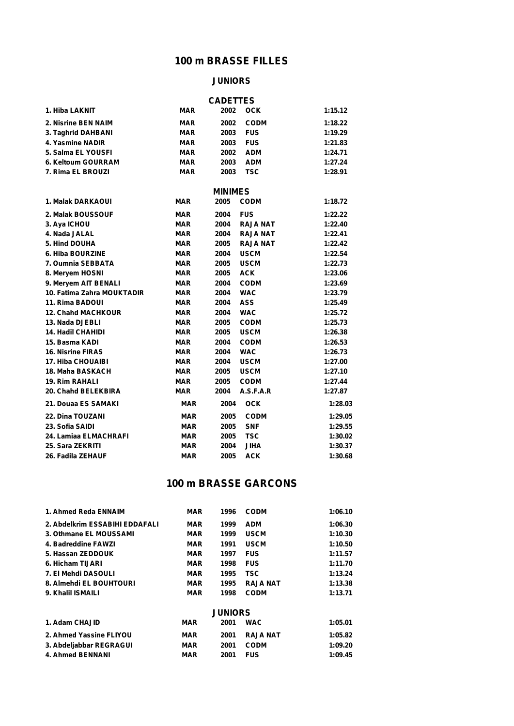### **100 m BRASSE FILLES**

#### **JUNIORS**

|                            |            | <b>CADETTES</b> |                 |         |
|----------------------------|------------|-----------------|-----------------|---------|
| 1. Hiba LAKNIT             | <b>MAR</b> | 2002            | <b>OCK</b>      | 1:15.12 |
| 2. Nisrine BEN NAIM        | <b>MAR</b> | 2002            | <b>CODM</b>     | 1:18.22 |
| 3. Taghrid DAHBANI         | <b>MAR</b> | 2003            | <b>FUS</b>      | 1:19.29 |
| 4. Yasmine NADIR           | <b>MAR</b> | 2003            | <b>FUS</b>      | 1:21.83 |
| 5. Salma EL YOUSFI         | <b>MAR</b> | 2002            | <b>ADM</b>      | 1:24.71 |
| 6. Keltoum GOURRAM         | <b>MAR</b> | 2003            | <b>ADM</b>      | 1:27.24 |
| 7. Rima EL BROUZI          | <b>MAR</b> | 2003            | <b>TSC</b>      | 1:28.91 |
|                            |            | <b>MINIMES</b>  |                 |         |
| 1. Malak DARKAOUI          | <b>MAR</b> | 2005            | <b>CODM</b>     | 1:18.72 |
| 2. Malak BOUSSOUF          | <b>MAR</b> | 2004            | <b>FUS</b>      | 1:22.22 |
| 3. Aya ICHOU               | <b>MAR</b> | 2004            | <b>RAJA NAT</b> | 1:22.40 |
| 4. Nada JALAL              | <b>MAR</b> | 2004            | <b>RAJA NAT</b> | 1:22.41 |
| 5. Hind DOUHA              | <b>MAR</b> | 2005            | <b>RAJA NAT</b> | 1:22.42 |
| 6. Hiba BOURZINE           | <b>MAR</b> | 2004            | <b>USCM</b>     | 1:22.54 |
| 7. Oumnia SEBBATA          | <b>MAR</b> | 2005            | <b>USCM</b>     | 1:22.73 |
| 8. Meryem HOSNI            | <b>MAR</b> | 2005            | <b>ACK</b>      | 1:23.06 |
| 9. Meryem AIT BENALI       | <b>MAR</b> | 2004            | <b>CODM</b>     | 1:23.69 |
| 10. Fatima Zahra MOUKTADIR | <b>MAR</b> | 2004            | <b>WAC</b>      | 1:23.79 |
| 11. Rima BADOUI            | <b>MAR</b> | 2004            | <b>ASS</b>      | 1:25.49 |
| <b>12. Chahd MACHKOUR</b>  | <b>MAR</b> | 2004            | <b>WAC</b>      | 1:25.72 |
| 13. Nada DJEBLI            | <b>MAR</b> | 2005            | <b>CODM</b>     | 1:25.73 |
| <b>14. Hadil CHAHIDI</b>   | <b>MAR</b> | 2005            | <b>USCM</b>     | 1:26.38 |
| 15. Basma KADI             | <b>MAR</b> | 2004            | <b>CODM</b>     | 1:26.53 |
| <b>16. Nisrine FIRAS</b>   | <b>MAR</b> | 2004            | <b>WAC</b>      | 1:26.73 |
| <b>17. Hiba CHOUAIBI</b>   | <b>MAR</b> | 2004            | <b>USCM</b>     | 1:27.00 |
| 18. Maha BASKACH           | <b>MAR</b> | 2005            | <b>USCM</b>     | 1:27.10 |
| <b>19. Rim RAHALI</b>      | <b>MAR</b> | 2005            | <b>CODM</b>     | 1:27.44 |
| 20. Chahd BELEKBIRA        | <b>MAR</b> | 2004            | A.S.F.A.R       | 1:27.87 |
| 21. Douaa ES SAMAKI        | <b>MAR</b> | 2004            | <b>OCK</b>      | 1:28.03 |
| <b>22. Dina TOUZANI</b>    | <b>MAR</b> | 2005            | <b>CODM</b>     | 1:29.05 |
| 23. Sofia SAIDI            | <b>MAR</b> | 2005            | <b>SNF</b>      | 1:29.55 |
| 24. Lamiaa ELMACHRAFI      | <b>MAR</b> | 2005            | <b>TSC</b>      | 1:30.02 |
| 25. Sara ZEKRITI           | <b>MAR</b> | 2004            | <b>JIHA</b>     | 1:30.37 |
| 26. Fadila ZEHAUF          | <b>MAR</b> | 2005            | <b>ACK</b>      | 1:30.68 |

## **100 m BRASSE GARCONS**

| 1. Ahmed Reda ENNAIM           | <b>MAR</b> | 1996           | <b>CODM</b>     | 1:06.10 |
|--------------------------------|------------|----------------|-----------------|---------|
| 2. Abdelkrim ESSABIHI EDDAFALI | <b>MAR</b> | 1999           | <b>ADM</b>      | 1:06.30 |
| 3. Othmane EL MOUSSAMI         | <b>MAR</b> | 1999           | <b>USCM</b>     | 1:10.30 |
| 4. Badreddine FAWZI            | <b>MAR</b> | 1991           | <b>USCM</b>     | 1:10.50 |
| 5. Hassan ZEDDOUK              | <b>MAR</b> | 1997           | <b>FUS</b>      | 1:11.57 |
| 6. Hicham TIJARI               | <b>MAR</b> | 1998           | <b>FUS</b>      | 1:11.70 |
| 7. El Mehdi DASOULI            | <b>MAR</b> | 1995           | <b>TSC</b>      | 1:13.24 |
| 8. Almehdi EL BOUHTOURI        | <b>MAR</b> | 1995           | <b>RAJA NAT</b> | 1:13.38 |
| 9. Khalil ISMAILI              | <b>MAR</b> | 1998           | <b>CODM</b>     | 1:13.71 |
|                                |            | <b>JUNIORS</b> |                 |         |
| 1. Adam CHAJID                 | MAR        | 2001           | <b>WAC</b>      | 1:05.01 |
| 2. Ahmed Yassine FLIYOU        | MAR        | 2001           | <b>RAJA NAT</b> | 1:05.82 |
| 3. Abdeljabbar REGRAGUI        | MAR        | 2001           | <b>CODM</b>     | 1:09.20 |
| 4. Ahmed BENNANI               | MAR        | 2001           | <b>FUS</b>      | 1:09.45 |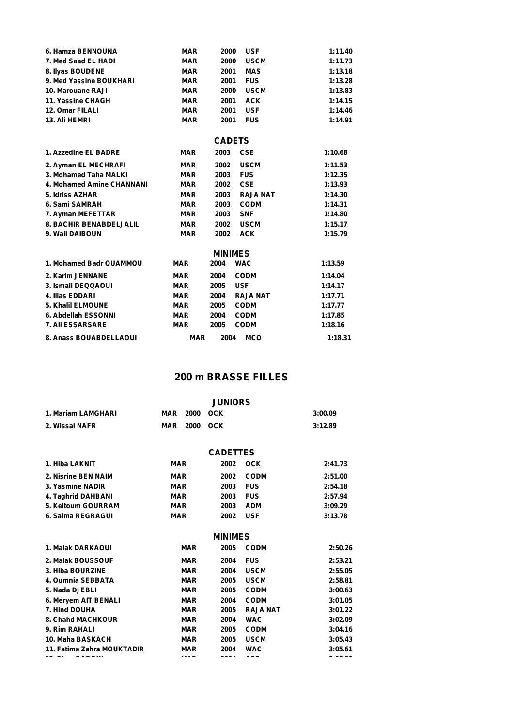| 6. Hamza BENNOUNA              | <b>MAR</b> | 2000           | <b>USF</b>      | 1:11.40 |
|--------------------------------|------------|----------------|-----------------|---------|
| 7. Med Saad EL HADI            | <b>MAR</b> | 2000           | <b>USCM</b>     | 1:11.73 |
| 8. Ilyas BOUDENE               | <b>MAR</b> | 2001           | <b>MAS</b>      | 1:13.18 |
| 9. Med Yassine BOUKHARI        | <b>MAR</b> | 2001           | <b>FUS</b>      | 1:13.28 |
| 10. Marouane RAJI              | <b>MAR</b> | 2000           | <b>USCM</b>     | 1:13.83 |
| 11. Yassine CHAGH              | <b>MAR</b> | 2001           | <b>ACK</b>      | 1:14.15 |
| 12. Omar FILALI                | <b>MAR</b> | 2001           | <b>USF</b>      | 1:14.46 |
| 13. Ali HEMRI                  | <b>MAR</b> | 2001           | <b>FUS</b>      | 1:14.91 |
|                                |            | <b>CADETS</b>  |                 |         |
| 1. Azzedine EL BADRE           | <b>MAR</b> | 2003           | <b>CSE</b>      | 1:10.68 |
| 2. Ayman EL MECHRAFI           | <b>MAR</b> | 2002           | <b>USCM</b>     | 1:11.53 |
| 3. Mohamed Taha MALKI          | <b>MAR</b> | 2003           | <b>FUS</b>      | 1:12.35 |
| 4. Mohamed Amine CHANNANI      | <b>MAR</b> | 2002           | <b>CSE</b>      | 1:13.93 |
| 5. Idriss AZHAR                | <b>MAR</b> | 2003           | <b>RAJA NAT</b> | 1:14.30 |
| 6. Sami SAMRAH                 | <b>MAR</b> | 2003           | <b>CODM</b>     | 1:14.31 |
| 7. Ayman MEFETTAR              | <b>MAR</b> | 2003           | <b>SNF</b>      | 1:14.80 |
| <b>8. BACHIR BENABDELJALIL</b> | <b>MAR</b> | 2002           | <b>USCM</b>     | 1:15.17 |
| 9. Wail DAIBOUN                | <b>MAR</b> | 2002           | <b>ACK</b>      | 1:15.79 |
|                                |            | <b>MINIMES</b> |                 |         |
| 1. Mohamed Badr OUAMMOU        | <b>MAR</b> | 2004           | <b>WAC</b>      | 1:13.59 |
| 2. Karim JENNANE               | <b>MAR</b> | 2004           | <b>CODM</b>     | 1:14.04 |
| 3. Ismail DEQQAOUI             | <b>MAR</b> | 2005           | <b>USF</b>      | 1:14.17 |
| 4. Ilias EDDARI                | <b>MAR</b> | 2004           | <b>RAJA NAT</b> | 1:17.71 |
| 5. Khalil ELMOUNE              | <b>MAR</b> | 2005           | <b>CODM</b>     | 1:17.77 |
| 6. Abdellah ESSONNI            | <b>MAR</b> | 2004           | <b>CODM</b>     | 1:17.85 |
| 7. Ali ESSARSARE               | <b>MAR</b> | 2005           | <b>CODM</b>     | 1:18.16 |
| 8. Anass BOUABDELLAOUI         | <b>MAR</b> | 2004           | <b>MCO</b>      | 1:18.31 |

### **200 m BRASSE FILLES**

|                            |            |            | <b>JUNIORS</b>  |                 |         |
|----------------------------|------------|------------|-----------------|-----------------|---------|
| 1. Mariam LAMGHARI         | MAR        | 2000       | <b>OCK</b>      |                 | 3:00.09 |
| 2. Wissal NAFR             | <b>MAR</b> | 2000       | <b>OCK</b>      |                 | 3:12.89 |
|                            |            |            | <b>CADETTES</b> |                 |         |
| 1. Hiba LAKNIT             | <b>MAR</b> |            | 2002            | <b>OCK</b>      | 2:41.73 |
| 2. Nisrine BEN NAIM        | <b>MAR</b> |            | 2002            | <b>CODM</b>     | 2:51.00 |
| 3. Yasmine NADIR           | <b>MAR</b> |            | 2003            | <b>FUS</b>      | 2:54.18 |
| 4. Taghrid DAHBANI         | <b>MAR</b> |            | 2003            | <b>FUS</b>      | 2:57.94 |
| 5. Keltoum GOURRAM         | <b>MAR</b> |            | 2003            | <b>ADM</b>      | 3:09.29 |
| 6. Salma REGRAGUI          | <b>MAR</b> |            | 2002            | <b>USF</b>      | 3:13.78 |
|                            |            |            | <b>MINIMES</b>  |                 |         |
| 1. Malak DARKAOUI          |            | <b>MAR</b> | 2005            | <b>CODM</b>     | 2:50.26 |
| 2. Malak BOUSSOUF          |            | <b>MAR</b> | 2004            | <b>FUS</b>      | 2:53.21 |
| 3. Hiba BOURZINE           |            | <b>MAR</b> | 2004            | <b>USCM</b>     | 2:55.05 |
| 4. Oumnia SEBBATA          |            | <b>MAR</b> | 2005            | <b>USCM</b>     | 2:58.81 |
| 5. Nada DJEBLI             |            | <b>MAR</b> | 2005            | <b>CODM</b>     | 3:00.63 |
| 6. Meryem AIT BENALI       |            | <b>MAR</b> | 2004            | <b>CODM</b>     | 3:01.05 |
| 7. Hind DOUHA              |            | <b>MAR</b> | 2005            | <b>RAJA NAT</b> | 3:01.22 |
| 8. Chahd MACHKOUR          |            | <b>MAR</b> | 2004            | <b>WAC</b>      | 3:02.09 |
| 9. Rim RAHALI              |            | <b>MAR</b> | 2005            | <b>CODM</b>     | 3:04.16 |
| 10. Maha BASKACH           |            | <b>MAR</b> | 2005            | <b>USCM</b>     | 3:05.43 |
| 11. Fatima Zahra MOUKTADIR |            | <b>MAR</b> | 2004            | <b>WAC</b>      | 3:05.61 |
|                            |            |            | ----            |                 |         |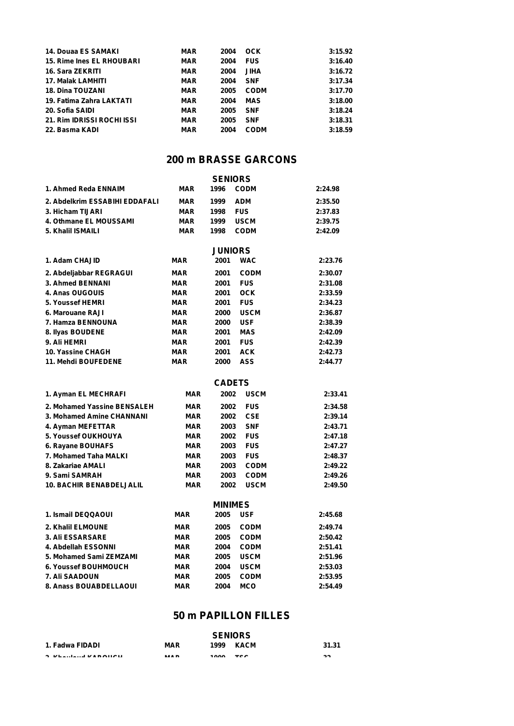| <b>14. Douaa ES SAMAKI</b>       | <b>MAR</b> | 2004 | OCK         | 3:15.92 |
|----------------------------------|------------|------|-------------|---------|
| <b>15. Rime Ines EL RHOUBARI</b> | <b>MAR</b> | 2004 | <b>FUS</b>  | 3:16.40 |
| 16. Sara ZEKRITI                 | <b>MAR</b> | 2004 | <b>JIHA</b> | 3:16.72 |
| 17. Malak LAMHITI                | <b>MAR</b> | 2004 | <b>SNF</b>  | 3:17.34 |
| <b>18. Dina TOUZANI</b>          | <b>MAR</b> | 2005 | <b>CODM</b> | 3:17.70 |
| 19. Fatima Zahra LAKTATI         | <b>MAR</b> | 2004 | MAS         | 3:18.00 |
| 20. Sofia SAIDI                  | <b>MAR</b> | 2005 | <b>SNF</b>  | 3:18.24 |
| 21. Rim IDRISSI ROCHI ISSI       | <b>MAR</b> | 2005 | <b>SNF</b>  | 3:18.31 |
| 22. Basma KADI                   | <b>MAR</b> | 2004 | <b>CODM</b> | 3:18.59 |

### **200 m BRASSE GARCONS**

| <b>SENIORS</b>                  |            |                |             |         |  |  |  |
|---------------------------------|------------|----------------|-------------|---------|--|--|--|
| 1. Ahmed Reda ENNAIM            | <b>MAR</b> | 1996           | <b>CODM</b> | 2:24.98 |  |  |  |
| 2. Abdelkrim ESSABIHI EDDAFALI  | <b>MAR</b> | 1999           | <b>ADM</b>  | 2:35.50 |  |  |  |
| 3. Hicham TIJARI                | <b>MAR</b> | 1998           | <b>FUS</b>  | 2:37.83 |  |  |  |
| 4. Othmane EL MOUSSAMI          | <b>MAR</b> | 1999           | <b>USCM</b> | 2:39.75 |  |  |  |
| 5. Khalil ISMAILI               | <b>MAR</b> | 1998           | <b>CODM</b> | 2:42.09 |  |  |  |
|                                 |            | <b>JUNIORS</b> |             |         |  |  |  |
| 1. Adam CHAJID                  | <b>MAR</b> | 2001           | <b>WAC</b>  | 2:23.76 |  |  |  |
| 2. Abdeljabbar REGRAGUI         | <b>MAR</b> | 2001           | <b>CODM</b> | 2:30.07 |  |  |  |
| 3. Ahmed BENNANI                | <b>MAR</b> | 2001           | <b>FUS</b>  | 2:31.08 |  |  |  |
| 4. Anas OUGOUIS                 | <b>MAR</b> | 2001           | <b>OCK</b>  | 2:33.59 |  |  |  |
| 5. Youssef HEMRI                | <b>MAR</b> | 2001           | <b>FUS</b>  | 2:34.23 |  |  |  |
| 6. Marouane RAJI                | <b>MAR</b> | 2000           | <b>USCM</b> | 2:36.87 |  |  |  |
| 7. Hamza BENNOUNA               | <b>MAR</b> | 2000           | <b>USF</b>  | 2:38.39 |  |  |  |
| 8. Ilyas BOUDENE                | <b>MAR</b> | 2001           | <b>MAS</b>  | 2:42.09 |  |  |  |
| 9. Ali HEMRI                    | <b>MAR</b> | 2001           | <b>FUS</b>  | 2:42.39 |  |  |  |
| 10. Yassine CHAGH               | MAR        | 2001           | <b>ACK</b>  | 2:42.73 |  |  |  |
| 11. Mehdi BOUFEDENE             | <b>MAR</b> | 2000           | ASS         | 2:44.77 |  |  |  |
|                                 |            | <b>CADETS</b>  |             |         |  |  |  |
| 1. Ayman EL MECHRAFI            | MAR        | 2002           | <b>USCM</b> | 2:33.41 |  |  |  |
|                                 |            |                |             |         |  |  |  |
| 2. Mohamed Yassine BENSALEH     | <b>MAR</b> | 2002           | <b>FUS</b>  | 2:34.58 |  |  |  |
| 3. Mohamed Amine CHANNANI       | <b>MAR</b> | 2002           | <b>CSE</b>  | 2:39.14 |  |  |  |
| 4. Ayman MEFETTAR               | <b>MAR</b> | 2003           | <b>SNF</b>  | 2:43.71 |  |  |  |
| <b>5. Youssef OUKHOUYA</b>      | <b>MAR</b> | 2002           | <b>FUS</b>  | 2:47.18 |  |  |  |
| 6. Rayane BOUHAFS               | <b>MAR</b> | 2003           | <b>FUS</b>  | 2:47.27 |  |  |  |
| 7. Mohamed Taha MALKI           | <b>MAR</b> | 2003           | <b>FUS</b>  | 2:48.37 |  |  |  |
| 8. Zakariae AMALI               | <b>MAR</b> | 2003           | <b>CODM</b> | 2:49.22 |  |  |  |
| 9. Sami SAMRAH                  | MAR        | 2003           | <b>CODM</b> | 2:49.26 |  |  |  |
| <b>10. BACHIR BENABDELJALIL</b> | <b>MAR</b> | 2002           | <b>USCM</b> | 2:49.50 |  |  |  |
|                                 |            | <b>MINIMES</b> |             |         |  |  |  |
| 1. Ismail DEQQAOUI              | <b>MAR</b> | 2005           | <b>USF</b>  | 2:45.68 |  |  |  |
| 2. Khalil ELMOUNE               | <b>MAR</b> | 2005           | <b>CODM</b> | 2:49.74 |  |  |  |
| <b>3. Ali ESSARSARE</b>         | <b>MAR</b> | 2005           | <b>CODM</b> | 2:50.42 |  |  |  |
| 4. Abdellah ESSONNI             | <b>MAR</b> | 2004           | <b>CODM</b> | 2:51.41 |  |  |  |
| 5. Mohamed Sami ZEMZAMI         | <b>MAR</b> | 2005           | <b>USCM</b> | 2:51.96 |  |  |  |
| <b>6. Youssef BOUHMOUCH</b>     | MAR        | 2004           | <b>USCM</b> | 2:53.03 |  |  |  |
| <b>7. Ali SAADOUN</b>           | <b>MAR</b> | 2005           | <b>CODM</b> | 2:53.95 |  |  |  |
| 8. Anass BOUABDELLAOUI          | MAR        | 2004           | MCO         | 2:54.49 |  |  |  |

### **50 m PAPILLON FILLES**

|                                         | <b>SENIORS</b>            |            |              |        |
|-----------------------------------------|---------------------------|------------|--------------|--------|
| 1. Fadwa FIDADI                         | <b>MAR</b>                | 1999       | <b>KACM</b>  | 31.31  |
| A 17L and a collected and a traditional | <b><i><u>BRAD</u></i></b> | $\sqrt{2}$ | $T^{\wedge}$ | $\sim$ |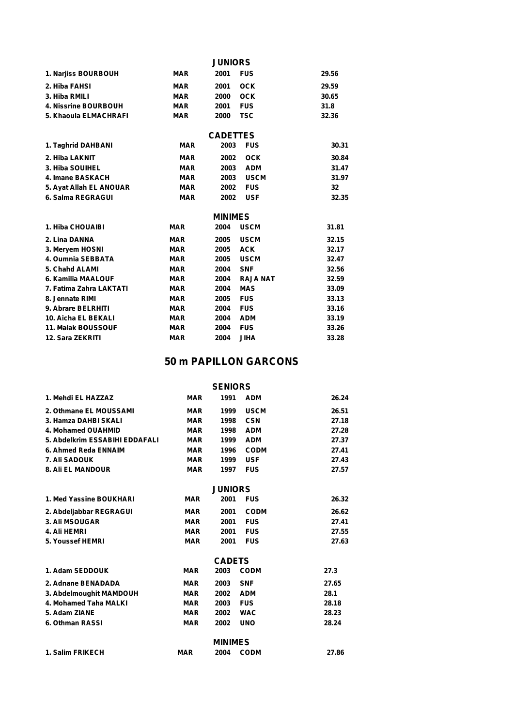|                             |            | <b>JUNIORS</b>  |                 |       |
|-----------------------------|------------|-----------------|-----------------|-------|
| 1. Narjiss BOURBOUH         | <b>MAR</b> | 2001            | <b>FUS</b>      | 29.56 |
| 2. Hiba FAHSI               | <b>MAR</b> | 2001            | <b>OCK</b>      | 29.59 |
| 3. Hiba RMILI               | <b>MAR</b> | 2000            | <b>OCK</b>      | 30.65 |
| <b>4. Nissrine BOURBOUH</b> | <b>MAR</b> | 2001            | <b>FUS</b>      | 31.8  |
| 5. Khaoula ELMACHRAFI       | <b>MAR</b> | 2000            | <b>TSC</b>      | 32.36 |
|                             |            | <b>CADETTES</b> |                 |       |
| 1. Taghrid DAHBANI          | <b>MAR</b> | 2003            | <b>FUS</b>      | 30.31 |
| 2. Hiba LAKNIT              | <b>MAR</b> | 2002            | <b>OCK</b>      | 30.84 |
| 3. Hiba SOUIHEL             | <b>MAR</b> | 2003            | <b>ADM</b>      | 31.47 |
| 4. Imane BASKACH            | <b>MAR</b> | 2003            | <b>USCM</b>     | 31.97 |
| 5. Ayat Allah EL ANOUAR     | <b>MAR</b> | 2002            | <b>FUS</b>      | 32    |
| 6. Salma REGRAGUI           | <b>MAR</b> | 2002            | <b>USF</b>      | 32.35 |
|                             |            | <b>MINIMES</b>  |                 |       |
| 1. Hiba CHOUAIBI            | <b>MAR</b> | 2004            | <b>USCM</b>     | 31.81 |
| 2. Lina DANNA               | <b>MAR</b> | 2005            | <b>USCM</b>     | 32.15 |
| 3. Meryem HOSNI             | <b>MAR</b> | 2005            | <b>ACK</b>      | 32.17 |
| 4. Oumnia SEBBATA           | <b>MAR</b> | 2005            | <b>USCM</b>     | 32.47 |
| 5. Chahd ALAMI              | <b>MAR</b> | 2004            | <b>SNF</b>      | 32.56 |
| 6. Kamilia MAALOUF          | <b>MAR</b> | 2004            | <b>RAJA NAT</b> | 32.59 |
| 7. Fatima Zahra LAKTATI     | <b>MAR</b> | 2004            | <b>MAS</b>      | 33.09 |
| 8. Jennate RIMI             | <b>MAR</b> | 2005            | <b>FUS</b>      | 33.13 |
| 9. Abrare BELRHITI          | <b>MAR</b> | 2004            | <b>FUS</b>      | 33.16 |
| 10. Aicha EL BEKALI         | <b>MAR</b> | 2004            | <b>ADM</b>      | 33.19 |
| <b>11. Malak BOUSSOUF</b>   | <b>MAR</b> | 2004            | <b>FUS</b>      | 33.26 |
| 12. Sara ZEKRITI            | <b>MAR</b> | 2004            | <b>JIHA</b>     | 33.28 |

## **50 m PAPILLON GARCONS**

| <b>SENIORS</b> |  |
|----------------|--|
|----------------|--|

| 1. Mehdi EL HAZZAZ             | <b>MAR</b> | 1991           | <b>ADM</b>  | 26.24 |
|--------------------------------|------------|----------------|-------------|-------|
| 2. Othmane EL MOUSSAMI         | <b>MAR</b> | 1999           | <b>USCM</b> | 26.51 |
| 3. Hamza DAHBI SKALI           | <b>MAR</b> | 1998           | <b>CSN</b>  | 27.18 |
| 4. Mohamed OUAHMID             | <b>MAR</b> | 1998           | <b>ADM</b>  | 27.28 |
| 5. Abdelkrim ESSABIHI EDDAFALI | <b>MAR</b> | 1999           | <b>ADM</b>  | 27.37 |
| 6. Ahmed Reda ENNAIM           | <b>MAR</b> | 1996           | <b>CODM</b> | 27.41 |
| 7. Ali SADOUK                  | <b>MAR</b> | 1999           | <b>USF</b>  | 27.43 |
| <b>8. Ali EL MANDOUR</b>       | <b>MAR</b> | 1997           | <b>FUS</b>  | 27.57 |
|                                |            | <b>JUNIORS</b> |             |       |
| 1. Med Yassine BOUKHARI        | <b>MAR</b> | 2001           | <b>FUS</b>  | 26.32 |
| 2. Abdeljabbar REGRAGUI        | <b>MAR</b> | 2001           | <b>CODM</b> | 26.62 |
| 3. Ali MSOUGAR                 | <b>MAR</b> | 2001           | <b>FUS</b>  | 27.41 |
| 4. Ali HEMRI                   | <b>MAR</b> | 2001           | <b>FUS</b>  | 27.55 |
| 5. Youssef HEMRI               | <b>MAR</b> | 2001           | <b>FUS</b>  | 27.63 |
|                                |            | <b>CADETS</b>  |             |       |
| 1. Adam SEDDOUK                | <b>MAR</b> | 2003           | <b>CODM</b> | 27.3  |
| 2. Adnane BENADADA             | <b>MAR</b> | 2003           | <b>SNF</b>  | 27.65 |
| 3. Abdelmoughit MAMDOUH        | <b>MAR</b> | 2002           | <b>ADM</b>  | 28.1  |
| 4. Mohamed Taha MALKI          | <b>MAR</b> | 2003           | <b>FUS</b>  | 28.18 |
| 5. Adam ZIANE                  | <b>MAR</b> | 2002           | <b>WAC</b>  | 28.23 |
| 6. Othman RASSI                | <b>MAR</b> | 2002           | <b>UNO</b>  | 28.24 |
|                                |            | <b>MINIMES</b> |             |       |
| 1. Salim FRIKECH               | <b>MAR</b> | 2004           | <b>CODM</b> | 27.86 |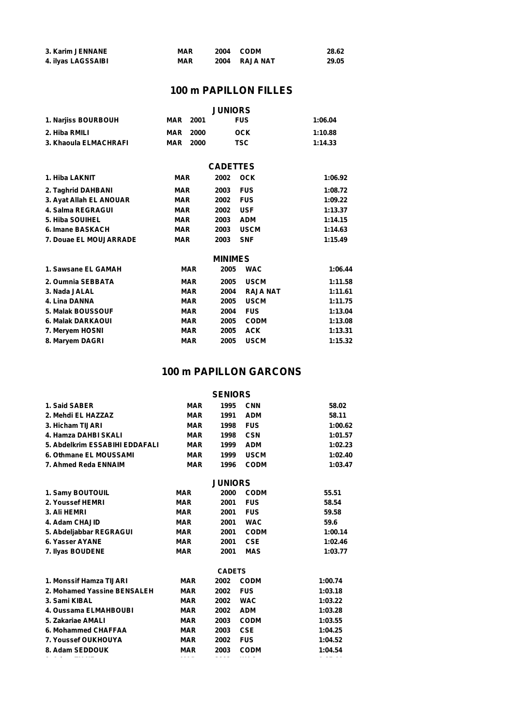| 3. Karim JENNANE   | <b>MAR</b> | 2004 CODM     | 28.62 |
|--------------------|------------|---------------|-------|
| 4. ilyas LAGSSAIBI | <b>MAR</b> | 2004 RAJA NAT | 29.05 |

### **100 m PAPILLON FILLES**

|                         |            |            | <b>JUNIORS</b>  |                 |         |
|-------------------------|------------|------------|-----------------|-----------------|---------|
| 1. Narjiss BOURBOUH     | MAR        | 2001       |                 | <b>FUS</b>      | 1:06.04 |
| 2. Hiba RMILI           | MAR        | 2000       |                 | <b>OCK</b>      | 1:10.88 |
| 3. Khaoula ELMACHRAFI   | <b>MAR</b> | 2000       |                 | <b>TSC</b>      | 1:14.33 |
|                         |            |            |                 |                 |         |
|                         |            |            | <b>CADETTES</b> |                 |         |
| 1. Hiba LAKNIT          | <b>MAR</b> |            | 2002            | <b>OCK</b>      | 1:06.92 |
| 2. Taghrid DAHBANI      | <b>MAR</b> |            | 2003            | <b>FUS</b>      | 1:08.72 |
| 3. Ayat Allah EL ANOUAR | <b>MAR</b> |            | 2002            | <b>FUS</b>      | 1:09.22 |
| 4. Salma REGRAGUI       | <b>MAR</b> |            | 2002            | <b>USF</b>      | 1:13.37 |
| 5. Hiba SOUIHEL         | <b>MAR</b> |            | 2003            | <b>ADM</b>      | 1:14.15 |
| 6. Imane BASKACH        | <b>MAR</b> |            | 2003            | <b>USCM</b>     | 1:14.63 |
| 7. Douae EL MOUJARRADE  | <b>MAR</b> |            | 2003            | <b>SNF</b>      | 1:15.49 |
|                         |            |            | <b>MINIMES</b>  |                 |         |
| 1. Sawsane EL GAMAH     |            | <b>MAR</b> | 2005            | <b>WAC</b>      | 1:06.44 |
| 2. Oumnia SEBBATA       |            | <b>MAR</b> | 2005            | <b>USCM</b>     | 1:11.58 |
| 3. Nada JALAL           |            | <b>MAR</b> | 2004            | <b>RAJA NAT</b> | 1:11.61 |
| 4. Lina DANNA           |            | <b>MAR</b> | 2005            | <b>USCM</b>     | 1:11.75 |
| 5. Malak BOUSSOUF       |            | <b>MAR</b> | 2004            | <b>FUS</b>      | 1:13.04 |
| 6. Malak DARKAOUI       |            | <b>MAR</b> | 2005            | <b>CODM</b>     | 1:13.08 |
| 7. Meryem HOSNI         |            | <b>MAR</b> | 2005            | <b>ACK</b>      | 1:13.31 |
| 8. Maryem DAGRI         |            | <b>MAR</b> | 2005            | <b>USCM</b>     | 1:15.32 |
|                         |            |            |                 |                 |         |

### **100 m PAPILLON GARCONS**

#### **SENIORS**

| 1. Said SABER                  | <b>MAR</b> | 1995           | <b>CNN</b>  | 58.02   |
|--------------------------------|------------|----------------|-------------|---------|
| 2. Mehdi EL HAZZAZ             | <b>MAR</b> | 1991           | <b>ADM</b>  | 58.11   |
| 3. Hicham TIJARI               | <b>MAR</b> | 1998           | <b>FUS</b>  | 1:00.62 |
| 4. Hamza DAHBI SKALI           | <b>MAR</b> | 1998           | <b>CSN</b>  | 1:01.57 |
| 5. Abdelkrim ESSABIHI EDDAFALI | <b>MAR</b> | 1999           | <b>ADM</b>  | 1:02.23 |
| 6. Othmane EL MOUSSAMI         | <b>MAR</b> | 1999           | <b>USCM</b> | 1:02.40 |
| 7. Ahmed Reda ENNAIM           | <b>MAR</b> | 1996           | <b>CODM</b> | 1:03.47 |
|                                |            | <b>JUNIORS</b> |             |         |
| 1. Samy BOUTOUIL               | <b>MAR</b> | 2000           | <b>CODM</b> | 55.51   |
| 2. Youssef HEMRI               | <b>MAR</b> | 2001           | <b>FUS</b>  | 58.54   |
| 3. Ali HEMRI                   | <b>MAR</b> | 2001           | <b>FUS</b>  | 59.58   |
| 4. Adam CHAJID                 | <b>MAR</b> | 2001           | <b>WAC</b>  | 59.6    |
| 5. Abdeljabbar REGRAGUI        | <b>MAR</b> | 2001           | <b>CODM</b> | 1:00.14 |
| 6. Yasser AYANE                | <b>MAR</b> | 2001           | <b>CSE</b>  | 1:02.46 |
| 7. Ilyas BOUDENE               | <b>MAR</b> | 2001           | <b>MAS</b>  | 1:03.77 |
|                                |            | <b>CADETS</b>  |             |         |
| 1. Monssif Hamza TIJARI        | <b>MAR</b> | 2002           | <b>CODM</b> | 1:00.74 |
| 2. Mohamed Yassine BENSALEH    | <b>MAR</b> | 2002           | <b>FUS</b>  | 1:03.18 |
| 3. Sami KIBAL                  | <b>MAR</b> | 2002           | <b>WAC</b>  | 1:03.22 |
| 4. Oussama ELMAHBOUBI          | <b>MAR</b> | 2002           | <b>ADM</b>  | 1:03.28 |
| 5. Zakariae AMALI              | <b>MAR</b> | 2003           | <b>CODM</b> | 1:03.55 |
| 6. Mohammed CHAFFAA            | <b>MAR</b> | 2003           | <b>CSE</b>  | 1:04.25 |
| 7. Youssef OUKHOUYA            | <b>MAR</b> | 2002           | <b>FUS</b>  | 1:04.52 |
| 8. Adam SEDDOUK                | <b>MAR</b> | 2003           | <b>CODM</b> | 1:04.54 |
|                                |            |                |             |         |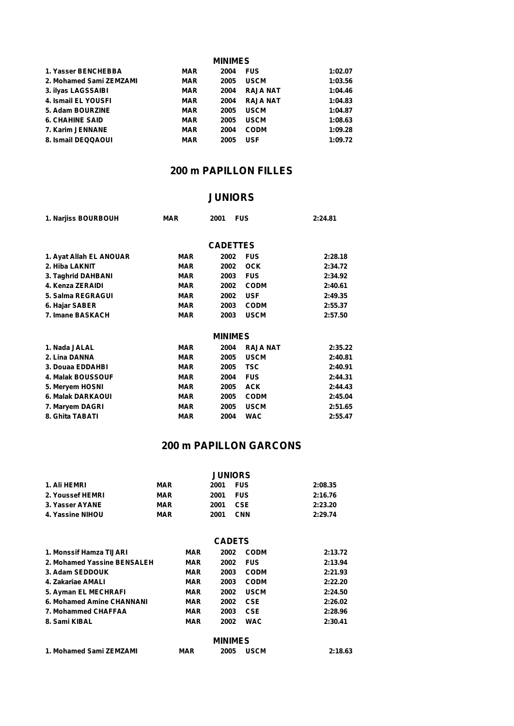| <b>MINIMES</b>          |            |      |                 |         |  |  |
|-------------------------|------------|------|-----------------|---------|--|--|
| 1. Yasser BENCHEBBA     | <b>MAR</b> | 2004 | <b>FUS</b>      | 1:02.07 |  |  |
| 2. Mohamed Sami ZEMZAMI | <b>MAR</b> | 2005 | <b>USCM</b>     | 1:03.56 |  |  |
| 3. ilyas LAGSSAIBI      | <b>MAR</b> | 2004 | <b>RAJA NAT</b> | 1:04.46 |  |  |
| 4. Ismail EL YOUSFI     | <b>MAR</b> | 2004 | <b>RAJA NAT</b> | 1:04.83 |  |  |
| 5. Adam BOURZINE        | <b>MAR</b> | 2005 | <b>USCM</b>     | 1:04.87 |  |  |
| <b>6. CHAHINE SAID</b>  | <b>MAR</b> | 2005 | <b>USCM</b>     | 1:08.63 |  |  |
| 7. Karim JENNANE        | <b>MAR</b> | 2004 | <b>CODM</b>     | 1:09.28 |  |  |
| 8. Ismail DEQQAOUI      | <b>MAR</b> | 2005 | <b>USF</b>      | 1:09.72 |  |  |

### **200 m PAPILLON FILLES**

### **JUNIORS**

| 1. Narjiss BOURBOUH     | <b>MAR</b> | 2001            | <b>FUS</b>      | 2:24.81 |  |
|-------------------------|------------|-----------------|-----------------|---------|--|
|                         |            | <b>CADETTES</b> |                 |         |  |
| 1. Ayat Allah EL ANOUAR | <b>MAR</b> | 2002            | <b>FUS</b>      | 2:28.18 |  |
| 2. Hiba LAKNIT          | <b>MAR</b> | 2002            | <b>OCK</b>      | 2:34.72 |  |
| 3. Taghrid DAHBANI      | <b>MAR</b> | 2003            | <b>FUS</b>      | 2:34.92 |  |
| 4. Kenza ZERAIDI        | <b>MAR</b> | 2002            | <b>CODM</b>     | 2:40.61 |  |
| 5. Salma REGRAGUI       | <b>MAR</b> | 2002            | <b>USF</b>      | 2:49.35 |  |
| 6. Hajar SABER          | <b>MAR</b> | 2003            | <b>CODM</b>     | 2:55.37 |  |
| 7. Imane BASKACH        | <b>MAR</b> | 2003            | <b>USCM</b>     | 2:57.50 |  |
|                         |            | <b>MINIMES</b>  |                 |         |  |
| 1. Nada JALAL           | <b>MAR</b> | 2004            | <b>RAJA NAT</b> | 2:35.22 |  |
| 2. Lina DANNA           | <b>MAR</b> | 2005            | <b>USCM</b>     | 2:40.81 |  |
| 3. Douaa EDDAHBI        | <b>MAR</b> | 2005            | <b>TSC</b>      | 2:40.91 |  |
| 4. Malak BOUSSOUF       | <b>MAR</b> | 2004            | <b>FUS</b>      | 2:44.31 |  |
| 5. Meryem HOSNI         | <b>MAR</b> | 2005            | <b>ACK</b>      | 2:44.43 |  |
| 6. Malak DARKAOUI       | <b>MAR</b> | 2005            | <b>CODM</b>     | 2:45.04 |  |
| 7. Maryem DAGRI         | <b>MAR</b> | 2005            | <b>USCM</b>     | 2:51.65 |  |
| 8. Ghita TABATI         | <b>MAR</b> | 2004            | <b>WAC</b>      | 2:55.47 |  |

### **200 m PAPILLON GARCONS**

|                  | <b>JUNIORS</b> |                    |         |  |  |
|------------------|----------------|--------------------|---------|--|--|
| 1. Ali HEMRI     | <b>MAR</b>     | <b>FUS</b><br>2001 | 2:08.35 |  |  |
| 2. Youssef HEMRI | <b>MAR</b>     | <b>FUS</b><br>2001 | 2:16.76 |  |  |
| 3. Yasser AYANE  | <b>MAR</b>     | <b>CSE</b><br>2001 | 2:23.20 |  |  |
| 4. Yassine NIHOU | <b>MAR</b>     | <b>CNN</b><br>2001 | 2:29.74 |  |  |

#### **CADETS**

| 1. Monssif Hamza TIJARI     | MAR        | 2002           | <b>CODM</b> | 2:13.72 |
|-----------------------------|------------|----------------|-------------|---------|
| 2. Mohamed Yassine BENSALEH | MAR        | 2002           | <b>FUS</b>  | 2:13.94 |
| 3. Adam SEDDOUK             | MAR        | 2003           | <b>CODM</b> | 2:21.93 |
| 4. Zakariae AMALI           | <b>MAR</b> | 2003           | <b>CODM</b> | 2:22.20 |
| 5. Ayman EL MECHRAFI        | MAR        | 2002           | <b>USCM</b> | 2:24.50 |
| 6. Mohamed Amine CHANNANI   | MAR        | 2002           | <b>CSE</b>  | 2:26.02 |
| 7. Mohammed CHAFFAA         | <b>MAR</b> | 2003           | <b>CSE</b>  | 2:28.96 |
| 8. Sami KIBAL               | MAR        | 2002           | <b>WAC</b>  | 2:30.41 |
|                             |            | <b>MINIMES</b> |             |         |
| 1. Mohamed Sami ZEMZAMI     | <b>MAR</b> | 2005           | <b>USCM</b> | 2:18.63 |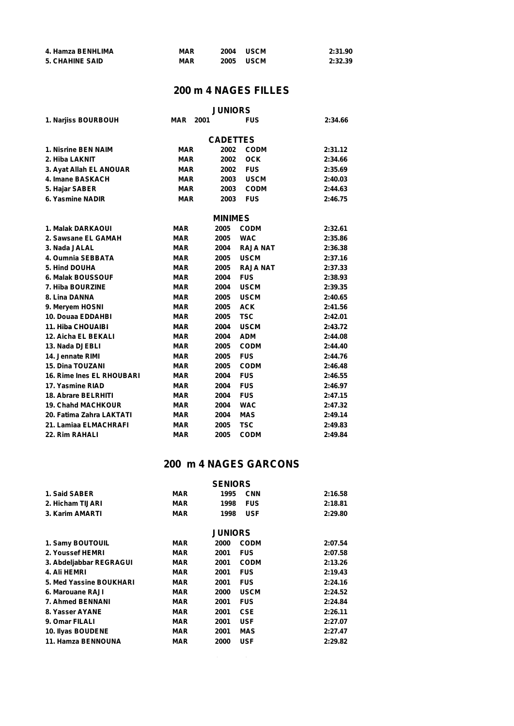| 4. Hamza BENHLIMA      | <b>MAR</b> | 2004 | <b>USCM</b> | 2:31.90 |
|------------------------|------------|------|-------------|---------|
| <b>5. CHAHINE SAID</b> | <b>MAR</b> | 2005 | <b>USCM</b> | 2:32.39 |

### **200 m 4 NAGES FILLES**

| <b>MAR</b><br>2001 |                                                                                  | <b>FUS</b>                                   | 2:34.66                                                                                                                                                                               |
|--------------------|----------------------------------------------------------------------------------|----------------------------------------------|---------------------------------------------------------------------------------------------------------------------------------------------------------------------------------------|
|                    |                                                                                  |                                              |                                                                                                                                                                                       |
|                    |                                                                                  |                                              | 2:31.12                                                                                                                                                                               |
|                    |                                                                                  |                                              | 2:34.66                                                                                                                                                                               |
|                    |                                                                                  |                                              | 2:35.69                                                                                                                                                                               |
|                    |                                                                                  |                                              | 2:40.03                                                                                                                                                                               |
|                    |                                                                                  |                                              | 2:44.63                                                                                                                                                                               |
|                    |                                                                                  |                                              | 2:46.75                                                                                                                                                                               |
|                    |                                                                                  |                                              |                                                                                                                                                                                       |
|                    |                                                                                  |                                              |                                                                                                                                                                                       |
| MAR                | 2005                                                                             |                                              | 2:32.61                                                                                                                                                                               |
| <b>MAR</b>         | 2005                                                                             |                                              | 2:35.86                                                                                                                                                                               |
| <b>MAR</b>         | 2004                                                                             | <b>RAJA NAT</b>                              | 2:36.38                                                                                                                                                                               |
| <b>MAR</b>         | 2005                                                                             | <b>USCM</b>                                  | 2:37.16                                                                                                                                                                               |
| <b>MAR</b>         | 2005                                                                             | <b>RAJA NAT</b>                              | 2:37.33                                                                                                                                                                               |
| <b>MAR</b>         | 2004                                                                             | <b>FUS</b>                                   | 2:38.93                                                                                                                                                                               |
| <b>MAR</b>         | 2004                                                                             | <b>USCM</b>                                  | 2:39.35                                                                                                                                                                               |
| <b>MAR</b>         | 2005                                                                             | <b>USCM</b>                                  | 2:40.65                                                                                                                                                                               |
| <b>MAR</b>         | 2005                                                                             | <b>ACK</b>                                   | 2:41.56                                                                                                                                                                               |
| <b>MAR</b>         | 2005                                                                             | <b>TSC</b>                                   | 2:42.01                                                                                                                                                                               |
| <b>MAR</b>         | 2004                                                                             | <b>USCM</b>                                  | 2:43.72                                                                                                                                                                               |
| <b>MAR</b>         | 2004                                                                             |                                              | 2:44.08                                                                                                                                                                               |
| <b>MAR</b>         | 2005                                                                             | <b>CODM</b>                                  | 2:44.40                                                                                                                                                                               |
| <b>MAR</b>         | 2005                                                                             | <b>FUS</b>                                   | 2:44.76                                                                                                                                                                               |
| <b>MAR</b>         | 2005                                                                             | <b>CODM</b>                                  | 2:46.48                                                                                                                                                                               |
| <b>MAR</b>         | 2004                                                                             | <b>FUS</b>                                   | 2:46.55                                                                                                                                                                               |
| <b>MAR</b>         | 2004                                                                             | <b>FUS</b>                                   | 2:46.97                                                                                                                                                                               |
| <b>MAR</b>         | 2004                                                                             | <b>FUS</b>                                   | 2:47.15                                                                                                                                                                               |
| <b>MAR</b>         | 2004                                                                             | <b>WAC</b>                                   | 2:47.32                                                                                                                                                                               |
| <b>MAR</b>         | 2004                                                                             | <b>MAS</b>                                   | 2:49.14                                                                                                                                                                               |
| <b>MAR</b>         | 2005                                                                             | <b>TSC</b>                                   | 2:49.83                                                                                                                                                                               |
| <b>MAR</b>         | 2005                                                                             | <b>CODM</b>                                  | 2:49.84                                                                                                                                                                               |
|                    | <b>MAR</b><br><b>MAR</b><br><b>MAR</b><br><b>MAR</b><br><b>MAR</b><br><b>MAR</b> | 2002<br>2002<br>2002<br>2003<br>2003<br>2003 | <b>JUNIORS</b><br><b>CADETTES</b><br><b>CODM</b><br><b>OCK</b><br><b>FUS</b><br><b>USCM</b><br><b>CODM</b><br><b>FUS</b><br><b>MINIMES</b><br><b>CODM</b><br><b>WAC</b><br><b>ADM</b> |

### **200 m 4 NAGES GARCONS**

|                         |            | <b>SENIORS</b> |             |         |
|-------------------------|------------|----------------|-------------|---------|
| 1. Said SABER           | <b>MAR</b> | 1995           | <b>CNN</b>  | 2:16.58 |
| 2. Hicham TIJARI        | <b>MAR</b> | 1998           | <b>FUS</b>  | 2:18.81 |
| 3. Karim AMARTI         | <b>MAR</b> | 1998           | <b>USF</b>  | 2:29.80 |
|                         |            | <b>JUNIORS</b> |             |         |
| 1. Samy BOUTOUIL        | MAR        | 2000           | <b>CODM</b> | 2:07.54 |
| 2. Youssef HEMRI        | <b>MAR</b> | 2001           | <b>FUS</b>  | 2:07.58 |
| 3. Abdeljabbar REGRAGUI | MAR        | 2001           | <b>CODM</b> | 2:13.26 |
| 4. Ali HEMRI            | <b>MAR</b> | 2001           | <b>FUS</b>  | 2:19.43 |
| 5. Med Yassine BOUKHARI | <b>MAR</b> | 2001           | <b>FUS</b>  | 2:24.16 |
| 6. Marouane RAJI        | <b>MAR</b> | 2000           | <b>USCM</b> | 2:24.52 |
| <b>7. Ahmed BENNANI</b> | <b>MAR</b> | 2001           | <b>FUS</b>  | 2:24.84 |
| 8. Yasser AYANE         | <b>MAR</b> | 2001           | <b>CSE</b>  | 2:26.11 |
| 9. Omar FILALI          | <b>MAR</b> | 2001           | <b>USF</b>  | 2:27.07 |
| 10. Ilyas BOUDENE       | <b>MAR</b> | 2001           | <b>MAS</b>  | 2:27.47 |
| 11. Hamza BENNOUNA      | <b>MAR</b> | 2000           | <b>USF</b>  | 2:29.82 |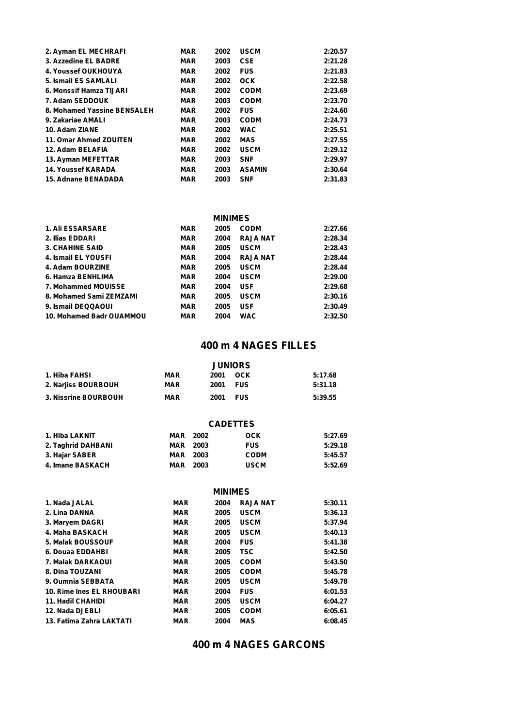| <b>MAR</b> | 2002 | <b>USCM</b>   | 2:20.57 |
|------------|------|---------------|---------|
| <b>MAR</b> | 2003 | <b>CSE</b>    | 2:21.28 |
| <b>MAR</b> | 2002 | <b>FUS</b>    | 2:21.83 |
| <b>MAR</b> | 2002 | <b>OCK</b>    | 2:22.58 |
| <b>MAR</b> | 2002 | <b>CODM</b>   | 2:23.69 |
| <b>MAR</b> | 2003 | <b>CODM</b>   | 2:23.70 |
| <b>MAR</b> | 2002 | <b>FUS</b>    | 2:24.60 |
| <b>MAR</b> | 2003 | <b>CODM</b>   | 2:24.73 |
| <b>MAR</b> | 2002 | <b>WAC</b>    | 2:25.51 |
| <b>MAR</b> | 2002 | <b>MAS</b>    | 2:27.55 |
| <b>MAR</b> | 2002 | <b>USCM</b>   | 2:29.12 |
| <b>MAR</b> | 2003 | <b>SNF</b>    | 2:29.97 |
| <b>MAR</b> | 2003 | <b>ASAMIN</b> | 2:30.64 |
| <b>MAR</b> | 2003 | <b>SNF</b>    | 2:31.83 |
|            |      |               |         |

#### **MINIMES**

| <b>1. Ali ESSARSARE</b>  | <b>MAR</b> | 2005 | <b>CODM</b>     | 2:27.66 |
|--------------------------|------------|------|-----------------|---------|
| 2. Ilias EDDARI          | <b>MAR</b> | 2004 | <b>RAJA NAT</b> | 2:28.34 |
| <b>3. CHAHINE SAID</b>   | <b>MAR</b> | 2005 | <b>USCM</b>     | 2:28.43 |
| 4. Ismail EL YOUSFI      | <b>MAR</b> | 2004 | <b>RAJA NAT</b> | 2:28.44 |
| 4. Adam BOURZINE         | <b>MAR</b> | 2005 | <b>USCM</b>     | 2:28.44 |
| 6. Hamza BENHLIMA        | <b>MAR</b> | 2004 | <b>USCM</b>     | 2:29.00 |
| 7. Mohammed MOUISSE      | <b>MAR</b> | 2004 | <b>USF</b>      | 2:29.68 |
| 8. Mohamed Sami ZEMZAMI  | <b>MAR</b> | 2005 | <b>USCM</b>     | 2:30.16 |
| 9. Ismail DEQQAOUI       | <b>MAR</b> | 2005 | <b>USF</b>      | 2:30.49 |
| 10. Mohamed Badr OUAMMOU | <b>MAR</b> | 2004 | <b>WAC</b>      | 2:32.50 |

#### **400 m 4 NAGES FILLES**

|                      |            | <b>JUNIORS</b>     |         |
|----------------------|------------|--------------------|---------|
| 1. Hiba FAHSI        | <b>MAR</b> | 2001<br>OCK        | 5:17.68 |
| 2. Narjiss BOURBOUH  | <b>MAR</b> | <b>FUS</b><br>2001 | 5:31.18 |
| 3. Nissrine BOURBOUH | MAR        | 2001<br><b>FUS</b> | 5:39.55 |

#### **CADETTES**

| 1. Hiba LAKNIT     | <b>MAR</b> 2002 | OCK         | 5:27.69 |
|--------------------|-----------------|-------------|---------|
| 2. Taghrid DAHBANI | <b>MAR</b> 2003 | <b>FUS</b>  | 5:29.18 |
| 3. Hajar SABER     | <b>MAR</b> 2003 | <b>CODM</b> | 5:45.57 |
| 4. Imane BASKACH   | <b>MAR</b> 2003 | <b>USCM</b> | 5:52.69 |

#### **MINIMES**

| 1. Nada JALAL             | <b>MAR</b> | 2004 | <b>RAJA NAT</b> | 5:30.11 |  |
|---------------------------|------------|------|-----------------|---------|--|
| 2. Lina DANNA             | <b>MAR</b> | 2005 | <b>USCM</b>     | 5:36.13 |  |
| 3. Maryem DAGRI           | <b>MAR</b> | 2005 | <b>USCM</b>     | 5:37.94 |  |
| 4. Maha BASKACH           | <b>MAR</b> | 2005 | <b>USCM</b>     | 5:40.13 |  |
| <b>5. Malak BOUSSOUF</b>  | <b>MAR</b> | 2004 | <b>FUS</b>      | 5:41.38 |  |
| 6. Douaa EDDAHBI          | <b>MAR</b> | 2005 | TSC             | 5:42.50 |  |
| 7. Malak DARKAOUI         | <b>MAR</b> | 2005 | <b>CODM</b>     | 5:43.50 |  |
| 8. Dina TOUZANI           | <b>MAR</b> | 2005 | <b>CODM</b>     | 5:45.78 |  |
| 9. Oumnia SEBBATA         | <b>MAR</b> | 2005 | <b>USCM</b>     | 5:49.78 |  |
| 10. Rime Ines EL RHOUBARI | <b>MAR</b> | 2004 | <b>FUS</b>      | 6:01.53 |  |
| <b>11. Hadil CHAHIDI</b>  | <b>MAR</b> | 2005 | <b>USCM</b>     | 6:04.27 |  |
| 12. Nada DJEBLI           | <b>MAR</b> | 2005 | <b>CODM</b>     | 6:05.61 |  |
| 13. Fatima Zahra LAKTATI  | <b>MAR</b> | 2004 | <b>MAS</b>      | 6:08.45 |  |
|                           |            |      |                 |         |  |

#### **400 m 4 NAGES GARCONS**